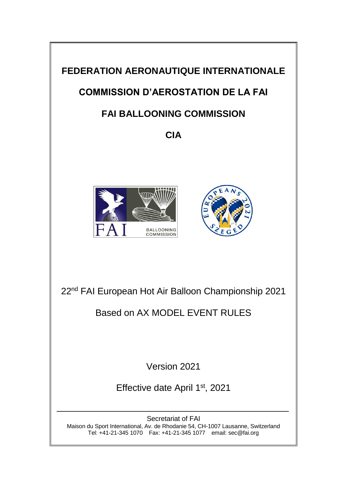

Tel: +41-21-345 1070 Fax: +41-21-345 1077 email: sec@fai.org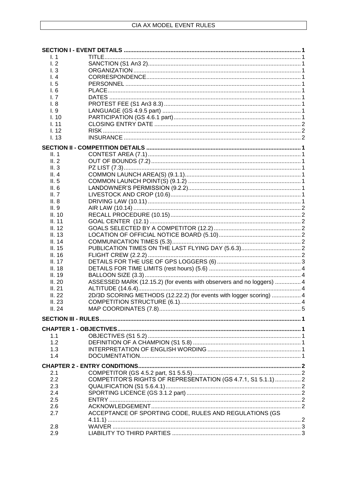| $\mathsf{L}$ 1          |                                                                       |  |
|-------------------------|-----------------------------------------------------------------------|--|
| 1.2                     |                                                                       |  |
| $\mathsf{I}.\mathsf{3}$ |                                                                       |  |
| 1.4                     |                                                                       |  |
| 1.5                     |                                                                       |  |
| 1.6                     |                                                                       |  |
| L <sub>7</sub>          |                                                                       |  |
| 1.8                     |                                                                       |  |
| 1.9                     |                                                                       |  |
| 1.10                    |                                                                       |  |
| 1.11                    |                                                                       |  |
| 1.12                    |                                                                       |  |
| I. 13                   |                                                                       |  |
|                         |                                                                       |  |
| II. 1                   |                                                                       |  |
| II.2                    |                                                                       |  |
| II.3                    |                                                                       |  |
| II.4                    |                                                                       |  |
| II.5                    |                                                                       |  |
| II. 6                   |                                                                       |  |
| II. $7$                 |                                                                       |  |
| II.8                    |                                                                       |  |
| II.9                    |                                                                       |  |
| II. 10                  |                                                                       |  |
| II. 11                  |                                                                       |  |
| II. 12                  |                                                                       |  |
| II. 13                  |                                                                       |  |
| II. 14                  |                                                                       |  |
| II. 15                  |                                                                       |  |
| II.16                   |                                                                       |  |
| II. 17                  |                                                                       |  |
| II. 18                  |                                                                       |  |
| II. 19                  |                                                                       |  |
| II.20                   | ASSESSED MARK (12.15.2) (for events with observers and no loggers)  4 |  |
| II.21                   |                                                                       |  |
| II.22                   | 2D/3D SCORING METHODS (12.22.2) (for events with logger scoring)  4   |  |
| II.23                   |                                                                       |  |
| II.24                   |                                                                       |  |
|                         |                                                                       |  |
|                         |                                                                       |  |
|                         |                                                                       |  |
| 1.1                     |                                                                       |  |
| 1.2                     |                                                                       |  |
| 1.3                     |                                                                       |  |
| 1.4                     |                                                                       |  |
|                         |                                                                       |  |
|                         |                                                                       |  |
| 2.1                     |                                                                       |  |
| 2.2                     | COMPETITOR'S RIGHTS OF REPRESENTATION (GS 4.7.1, S1 5.1.1)  2         |  |
| 2.3                     |                                                                       |  |
| 2.4                     |                                                                       |  |
| 2.5                     |                                                                       |  |
| 2.6                     |                                                                       |  |
| 2.7                     | ACCEPTANCE OF SPORTING CODE, RULES AND REGULATIONS (GS                |  |
|                         |                                                                       |  |
| 2.8                     |                                                                       |  |
| 2.9                     |                                                                       |  |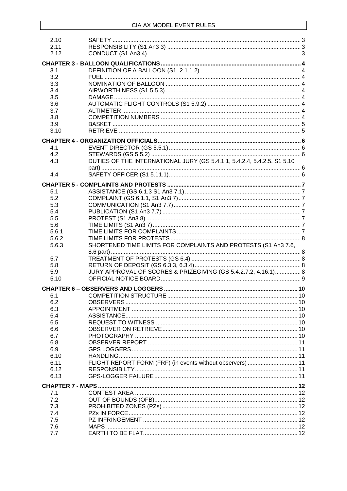| 2.10  |                                                                         |  |
|-------|-------------------------------------------------------------------------|--|
| 2.11  |                                                                         |  |
| 2.12  |                                                                         |  |
|       |                                                                         |  |
|       |                                                                         |  |
|       |                                                                         |  |
| 3.1   |                                                                         |  |
| 3.2   |                                                                         |  |
| 3.3   |                                                                         |  |
| 3.4   |                                                                         |  |
| 3.5   |                                                                         |  |
| 3.6   |                                                                         |  |
|       |                                                                         |  |
| 3.7   |                                                                         |  |
| 3.8   |                                                                         |  |
| 3.9   |                                                                         |  |
| 3.10  |                                                                         |  |
|       |                                                                         |  |
|       |                                                                         |  |
| 4.1   |                                                                         |  |
| 4.2   |                                                                         |  |
|       | DUTIES OF THE INTERNATIONAL JURY (GS 5.4.1.1, 5.4.2.4, 5.4.2.5. S1 5.10 |  |
| 4.3   |                                                                         |  |
|       |                                                                         |  |
| 4.4   |                                                                         |  |
|       |                                                                         |  |
|       |                                                                         |  |
| 5.1   |                                                                         |  |
| 5.2   |                                                                         |  |
| 5.3   |                                                                         |  |
| 5.4   |                                                                         |  |
|       |                                                                         |  |
| 5.5   |                                                                         |  |
| 5.6   |                                                                         |  |
| 5.6.1 |                                                                         |  |
| 5.6.2 |                                                                         |  |
| 5.6.3 | SHORTENED TIME LIMITS FOR COMPLAINTS AND PROTESTS (S1 An3 7.6,          |  |
|       |                                                                         |  |
|       |                                                                         |  |
| 5.7   |                                                                         |  |
| 5.8   |                                                                         |  |
| 5.9   | JURY APPROVAL OF SCORES & PRIZEGIVING (GS 5.4.2.7.2, 4.16.1) 8          |  |
| 5.10  |                                                                         |  |
|       |                                                                         |  |
|       |                                                                         |  |
| 6.1   |                                                                         |  |
|       |                                                                         |  |
| 6.2   |                                                                         |  |
| 6.3   |                                                                         |  |
| 6.4   |                                                                         |  |
| 6.5   |                                                                         |  |
| 6.6   |                                                                         |  |
| 6.7   |                                                                         |  |
|       |                                                                         |  |
| 6.8   |                                                                         |  |
| 6.9   |                                                                         |  |
| 6.10  |                                                                         |  |
| 6.11  | FLIGHT REPORT FORM (FRF) (in events without observers)  11              |  |
| 6.12  |                                                                         |  |
|       |                                                                         |  |
| 6.13  |                                                                         |  |
|       |                                                                         |  |
|       |                                                                         |  |
| 7.1   |                                                                         |  |
| 7.2   |                                                                         |  |
| 7.3   |                                                                         |  |
| 7.4   |                                                                         |  |
| 7.5   |                                                                         |  |
| 7.6   |                                                                         |  |
|       |                                                                         |  |
| 7.7   |                                                                         |  |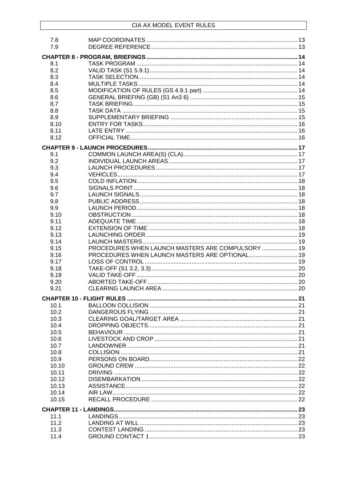| 7.8<br>7.9 |                                                   |  |
|------------|---------------------------------------------------|--|
|            |                                                   |  |
| 8.1        |                                                   |  |
| 8.2        |                                                   |  |
| 8.3        |                                                   |  |
| 8.4        |                                                   |  |
| 8.5        |                                                   |  |
| 8.6        |                                                   |  |
| 8.7        |                                                   |  |
| 8.8        |                                                   |  |
| 8.9        |                                                   |  |
| 8.10       |                                                   |  |
| 8.11       |                                                   |  |
| 8.12       |                                                   |  |
|            |                                                   |  |
| 9.1        |                                                   |  |
| 9.2        |                                                   |  |
| 9.3        |                                                   |  |
| 9.4        |                                                   |  |
| 9.5        |                                                   |  |
| 9.6        |                                                   |  |
| 9.7        |                                                   |  |
| 9.8        |                                                   |  |
| 9.9        |                                                   |  |
| 9.10       |                                                   |  |
| 9.11       |                                                   |  |
| 9.12       |                                                   |  |
| 9.13       |                                                   |  |
| 9.14       |                                                   |  |
| 9.15       | PROCEDURES WHEN LAUNCH MASTERS ARE COMPULSORY  19 |  |
| 9.16       | PROCEDURES WHEN LAUNCH MASTERS ARE OPTIONAL 19    |  |
| 9.17       |                                                   |  |
| 9.18       |                                                   |  |
| 9.19       |                                                   |  |
| 9.20       |                                                   |  |
| 9.21       |                                                   |  |
|            |                                                   |  |
| 10.1       |                                                   |  |
| 10.2       |                                                   |  |
| 10.3       |                                                   |  |
| 10.4       |                                                   |  |
| 10.5       |                                                   |  |
| 10.6       |                                                   |  |
| 10.7       |                                                   |  |
| 10.8       |                                                   |  |
| 10.9       |                                                   |  |
| 10.10      |                                                   |  |
| 10.11      |                                                   |  |
| 10.12      |                                                   |  |
| 10.13      |                                                   |  |
| 10.14      |                                                   |  |
| 10.15      |                                                   |  |
|            |                                                   |  |
| 11.1       |                                                   |  |
| 11.2       |                                                   |  |
| 11.3       |                                                   |  |
| 11.4       |                                                   |  |
|            |                                                   |  |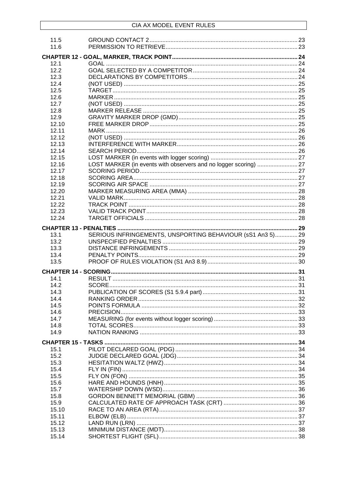| 11.5           |                                                                  |  |
|----------------|------------------------------------------------------------------|--|
| 11.6           |                                                                  |  |
|                |                                                                  |  |
| 12.1           |                                                                  |  |
| 12.2           |                                                                  |  |
| 12.3           |                                                                  |  |
| 12.4           |                                                                  |  |
| 12.5           |                                                                  |  |
| 12.6           |                                                                  |  |
| 12.7           |                                                                  |  |
| 12.8           |                                                                  |  |
| 12.9           |                                                                  |  |
| 12.10          |                                                                  |  |
| 12.11          |                                                                  |  |
| 12.12          |                                                                  |  |
| 12.13          |                                                                  |  |
| 12.14          |                                                                  |  |
| 12.15          |                                                                  |  |
| 12.16          | LOST MARKER (in events with observers and no logger scoring)  27 |  |
| 12.17          |                                                                  |  |
| 12.18          |                                                                  |  |
|                |                                                                  |  |
| 12.19          |                                                                  |  |
| 12.20          |                                                                  |  |
| 12.21          |                                                                  |  |
| 12.22          |                                                                  |  |
| 12.23          |                                                                  |  |
| 12.24          |                                                                  |  |
|                |                                                                  |  |
| 13.1           | SERIOUS INFRINGEMENTS, UNSPORTING BEHAVIOUR (sS1 An3 5) 29       |  |
|                |                                                                  |  |
| 13.2           |                                                                  |  |
| 13.3           |                                                                  |  |
|                |                                                                  |  |
| 13.4<br>13.5   |                                                                  |  |
|                |                                                                  |  |
|                |                                                                  |  |
| 14.1           |                                                                  |  |
| 14.2           |                                                                  |  |
| 14.3           |                                                                  |  |
| 14.4           |                                                                  |  |
| 14.5           |                                                                  |  |
| 14.6           |                                                                  |  |
| 14.7           |                                                                  |  |
| 14.8           |                                                                  |  |
| 14.9           |                                                                  |  |
|                |                                                                  |  |
|                |                                                                  |  |
| 15.1           |                                                                  |  |
| 15.2           |                                                                  |  |
| 15.3           |                                                                  |  |
| 15.4           |                                                                  |  |
| 15.5           |                                                                  |  |
| 15.6           |                                                                  |  |
| 15.7           |                                                                  |  |
| 15.8           |                                                                  |  |
| 15.9           |                                                                  |  |
| 15.10          |                                                                  |  |
| 15.11          |                                                                  |  |
| 15.12          |                                                                  |  |
| 15.13<br>15.14 |                                                                  |  |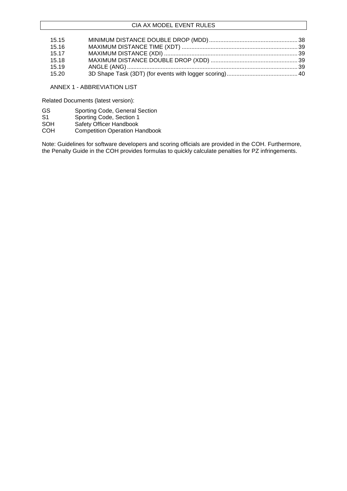| 15.15 |  |
|-------|--|
| 15.16 |  |
| 15.17 |  |
| 15.18 |  |
| 15.19 |  |
| 15.20 |  |

ANNEX 1 - ABBREVIATION LIST

Related Documents (latest version):

- GS Sporting Code, General Section<br>S1 Sporting Code, Section 1
- S1 Sporting Code, Section 1<br>SOH Safety Officer Handbook
- SOH Safety Officer Handbook<br>COH Competition Operation Ha
- **Competition Operation Handbook**

Note: Guidelines for software developers and scoring officials are provided in the COH. Furthermore, the Penalty Guide in the COH provides formulas to quickly calculate penalties for PZ infringements.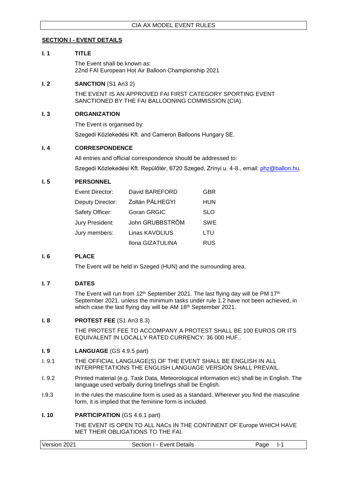# <span id="page-6-0"></span>**SECTION I - EVENT DETAILS**

### <span id="page-6-1"></span>**I. 1 TITLE**

The Event shall be known as: 22nd FAI European Hot Air Balloon Championship 2021

#### <span id="page-6-2"></span>**I. 2 SANCTION** (S1 An3 2)

THE EVENT IS AN APPROVED FAI FIRST CATEGORY SPORTING EVENT SANCTIONED BY THE FAI BALLOONING COMMISSION (CIA).

#### <span id="page-6-3"></span>**I. 3 ORGANIZATION**

The Event is organised by:

Szegedi Közlekedési Kft. and Cameron Balloons Hungary SE.

#### <span id="page-6-4"></span>**I. 4 CORRESPONDENCE**

All entries and official correspondence should be addressed to:

Szegedi Közlekedési Kft. Repülőtér, 6720 Szeged, Zrínyi u. 4-8., email: [phz@ballon.hu.](mailto:phz@ballon.hu)

# <span id="page-6-5"></span>**I. 5 PERSONNEL**

| Event Director:  | David BAREFORD   | <b>GBR</b> |
|------------------|------------------|------------|
| Deputy Director: | Zoltán PÁLHEGYI  | <b>HUN</b> |
| Safety Officer:  | Goran GRGIC      | <b>SLO</b> |
| Jury President:  | John GRUBBSTRÖM  | <b>SWE</b> |
| Jury members:    | Linas KAVOLIUS   | LTU        |
|                  | Ilona GIZATULINA | <b>RUS</b> |

#### <span id="page-6-6"></span>**I. 6 PLACE**

The Event will be held in Szeged (HUN) and the surrounding area.

#### <span id="page-6-7"></span>**I. 7 DATES**

The Event will run from 12<sup>th</sup> September 2021. The last flying day will be PM 17<sup>th</sup> September 2021. unless the minimum tasks under rule 1.2 have not been achieved, in which case the last flying day will be AM 18<sup>th</sup> September 2021.

#### <span id="page-6-8"></span>**I. 8 PROTEST FEE** (S1 An3 8.3)

THE PROTEST FEE TO ACCOMPANY A PROTEST SHALL BE 100 EUROS OR ITS EQUIVALENT IN LOCALLY RATED CURRENCY: 36 000 HUF..

#### <span id="page-6-9"></span>**I. 9 LANGUAGE** (GS 4.9.5 part)

- I. 9.1 THE OFFICIAL LANGUAGE(S) OF THE EVENT SHALL BE ENGLISH IN ALL INTERPRETATIONS THE ENGLISH LANGUAGE VERSION SHALL PREVAIL.
- I. 9.2 Printed material (e.g. Task Data, Meteorological information etc) shall be in English. The language used verbally during briefings shall be English.
- I.9.3 In the rules the masculine form is used as a standard. Wherever you find the masculine form, it is implied that the feminine form is included.

#### <span id="page-6-10"></span>**I. 10 <b>PARTICIPATION** (GS 4.6.1 part)

THE EVENT IS OPEN TO ALL NACs IN THE CONTINENT OF Europe WHICH HAVE MET THEIR OBLIGATIONS TO THE FAI.

| Version 2021 | Section I - Event Details | Page |
|--------------|---------------------------|------|
|--------------|---------------------------|------|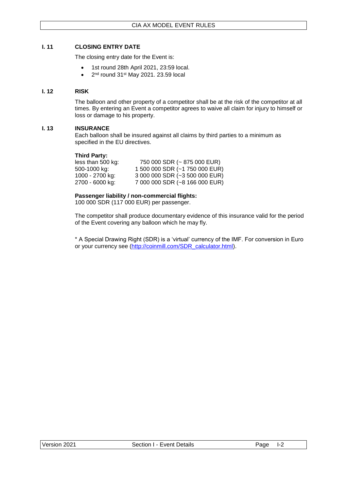#### <span id="page-7-0"></span>**I. 11 CLOSING ENTRY DATE**

The closing entry date for the Event is:

- 1st round 28th April 2021, 23:59 local.
- $\bullet$  2<sup>nd</sup> round 31st May 2021. 23.59 local

### <span id="page-7-1"></span>**I. 12 RISK**

The balloon and other property of a competitor shall be at the risk of the competitor at all times. By entering an Event a competitor agrees to waive all claim for injury to himself or loss or damage to his property.

#### <span id="page-7-2"></span>**I. 13 INSURANCE**

Each balloon shall be insured against all claims by third parties to a minimum as specified in the EU directives.

#### **Third Party:**

| 750 000 SDR (~ 875 000 EUR)    |
|--------------------------------|
| 1 500 000 SDR (~1 750 000 EUR) |
| 3 000 000 SDR (~3 500 000 EUR) |
| 7 000 000 SDR (~8 166 000 EUR) |
|                                |

# **Passenger liability / non-commercial flights:**

100 000 SDR (117 000 EUR) per passenger.

The competitor shall produce documentary evidence of this insurance valid for the period of the Event covering any balloon which he may fly.

\* A Special Drawing Right (SDR) is a 'virtual' currency of the IMF. For conversion in Euro or your currency see [\(http://coinmill.com/SDR\\_calculator.html\)](http://coinmill.com/SDR_calculator.html).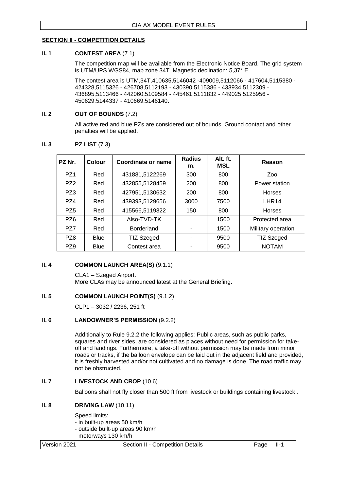# <span id="page-8-0"></span>**SECTION II - COMPETITION DETAILS**

#### <span id="page-8-1"></span>**II. 1 CONTEST AREA** (7.1)

The competition map will be available from the Electronic Notice Board. The grid system is UTM/UPS WGS84, map zone 34T. Magnetic declination: 5,37° E.

The contest area is UTM,34T,410635,5146042 -409009,5112066 - 417604,5115380 - 424328,5115326 - 426708,5112193 - 430390,5115386 - 433934,5112309 - 436895,5113466 - 442060,5109584 - 445461,5111832 - 449025,5125956 - 450629,5144337 - 410669,5146140.

#### <span id="page-8-2"></span>**II. 2 OUT OF BOUNDS** (7.2)

All active red and blue PZs are considered out of bounds. Ground contact and other penalties will be applied.

| PZ Nr.          | Colour | Coordinate or name | <b>Radius</b><br>m. | Alt. ft.<br><b>MSL</b> | Reason             |
|-----------------|--------|--------------------|---------------------|------------------------|--------------------|
| PZ <sub>1</sub> | Red    | 431881,5122269     | 300                 | 800                    | Zoo                |
| PZ <sub>2</sub> | Red    | 432855,5128459     | 200                 | 800                    | Power station      |
| PZ3             | Red    | 427951,5130632     | 200                 | 800                    | Horses             |
| PZ4             | Red    | 439393,5129656     | 3000                | 7500                   | LHR <sub>14</sub>  |
| PZ <sub>5</sub> | Red    | 415566,5119322     | 150                 | 800                    | <b>Horses</b>      |
| PZ <sub>6</sub> | Red    | Also-TVD-TK        |                     | 1500                   | Protected area     |
| PZ7             | Red    | <b>Borderland</b>  |                     | 1500                   | Military operation |
| PZ8             | Blue   | <b>TIZ Szeged</b>  |                     | 9500                   | TIZ Szeged         |
| PZ <sub>9</sub> | Blue   | Contest area       |                     | 9500                   | <b>NOTAM</b>       |

# <span id="page-8-3"></span>**II. 3 PZ LIST** (7.3)

#### <span id="page-8-4"></span>**II. 4 COMMON LAUNCH AREA(S)** (9.1.1)

CLA1 – Szeged Airport. More CLAs may be announced latest at the General Briefing.

#### <span id="page-8-5"></span>**II. 5 COMMON LAUNCH POINT(S) (9.1.2)**

CLP1 – 3032 / 2236, 251 ft

#### <span id="page-8-6"></span>**II. 6 LANDOWNER'S PERMISSION** (9.2.2)

Additionally to Rule 9.2.2 the following applies: Public areas, such as public parks, squares and river sides, are considered as places without need for permission for takeoff and landings. Furthermore, a take-off without permission may be made from minor roads or tracks, if the balloon envelope can be laid out in the adjacent field and provided, it is freshly harvested and/or not cultivated and no damage is done. The road traffic may not be obstructed.

#### <span id="page-8-7"></span>**II. 7 LIVESTOCK AND CROP** (10.6)

Balloons shall not fly closer than 500 ft from livestock or buildings containing livestock .

#### <span id="page-8-8"></span>**II. 8 DRIVING LAW** (10.11)

Speed limits:

- in built-up areas 50 km/h

- outside built-up areas 90 km/h

- motorways 130 km/h

| Version 2021<br>Section II - Competition Details<br>Page II-1 |  |
|---------------------------------------------------------------|--|
|---------------------------------------------------------------|--|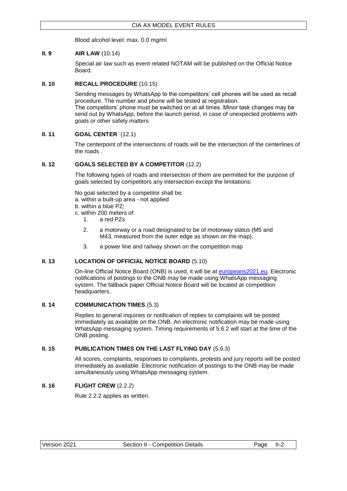Blood alcohol level: max. 0.0 mg/ml

# <span id="page-9-0"></span>**II. 9 AIR LAW** (10.14)

Special air law such as event related NOTAM will be published on the Official Notice Board.

# <span id="page-9-1"></span>**II. 10 RECALL PROCEDURE** (10.15)

Sending messages by WhatsApp to the competitors' cell phones will be used as recall procedure. The number and phone will be tested at registration. The competitors' phone must be switched on at all times. Minor task changes may be send out by WhatsApp, before the launch period, in case of unexpected problems with goals or other safety matters

# <span id="page-9-2"></span>**II. 11 GOAL CENTER** (12.1)

The centerpoint of the intersections of roads will be the intersection of the centerlines of the roads .

# <span id="page-9-3"></span>**II. 12 GOALS SELECTED BY A COMPETITOR** (12.2)

The following types of roads and intersection of them are permitted for the purpose of goals selected by competitors any intersection except the limitations:

No goal selected by a competitor shall be:

a. within a built-up area - not applied

- b. within a blue PZ;
- c. within 200 meters of:
	- 1. a red PZs
	- 2. a motorway or a road designated to be of motorway status (M5 and M43, measured from the outer edge as shown on the map).
	- 3. a power line and railway shown on the competition map

#### <span id="page-9-4"></span>**II. 13 LOCATION OF OFFICIAL NOTICE BOARD** (5.10)

On-line Official Notice Board (ONB) is used, it will be at [europeans2021.eu,](https://europeans2021.eu/index.php/official-notice-board/) Electronic notifications of postings to the ONB may be made using WhatsApp messaging system. The fallback paper Official Notice Board will be located at competition headquarters.

### <span id="page-9-5"></span>**II. 14 COMMUNICATION TIMES** (5.3)

Replies to general inquiries or notification of replies to complaints will be posted immediately as available on the ONB. An electronic notification may be made using WhatsApp messaging system. Timing requirements of 5.6.2 will start at the time of the ONB posting.

#### <span id="page-9-6"></span>**II. 15 PUBLICATION TIMES ON THE LAST FLYING DAY** (5.6.3)

All scores, complaints, responses to complaints, protests and jury reports will be posted immediately as available. Electronic notification of postings to the ONB may be made simultaneously using WhatsApp messaging system.

# <span id="page-9-7"></span>**II. 16 FLIGHT CREW** (2.2.2)

Rule 2.2.2 applies as written.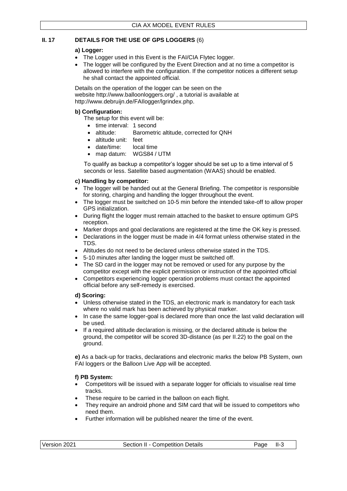# <span id="page-10-0"></span>**II. 17 DETAILS FOR THE USE OF GPS LOGGERS** (6)

# **a) Logger:**

- The Logger used in this Event is the FAI/CIA Flytec logger.
- The logger will be configured by the Event Direction and at no time a competitor is allowed to interfere with the configuration. If the competitor notices a different setup he shall contact the appointed official.

Details on the operation of the logger can be seen on the website <http://www.balloonloggers.org/> , a tutorial is available at [http://www.debruijn.de/FAIlogger/lgrindex.php.](http://www.debruijn.de/FAIlogger/lgrindex.php)

# **b) Configuration:**

The setup for this event will be:

- time interval: 1 second
- altitude: Barometric altitude, corrected for QNH
- altitude unit: feet
- date/time: local time
- map datum: WGS84 / UTM

To qualify as backup a competitor's logger should be set up to a time interval of 5 seconds or less. Satellite based augmentation (WAAS) should be enabled.

# **c) Handling by competitor:**

- The logger will be handed out at the General Briefing. The competitor is responsible for storing, charging and handling the logger throughout the event.
- The logger must be switched on 10-5 min before the intended take-off to allow proper GPS initialization.
- During flight the logger must remain attached to the basket to ensure optimum GPS reception.
- Marker drops and goal declarations are registered at the time the OK key is pressed.
- Declarations in the logger must be made in 4/4 format unless otherwise stated in the TDS.
- Altitudes do not need to be declared unless otherwise stated in the TDS.
- 5-10 minutes after landing the logger must be switched off.
- The SD card in the logger may not be removed or used for any purpose by the competitor except with the explicit permission or instruction of the appointed official
- Competitors experiencing logger operation problems must contact the appointed official before any self-remedy is exercised.

#### **d) Scoring:**

- Unless otherwise stated in the TDS, an electronic mark is mandatory for each task where no valid mark has been achieved by physical marker.
- In case the same logger-goal is declared more than once the last valid declaration will be used.
- If a required altitude declaration is missing, or the declared altitude is below the ground, the competitor will be scored 3D-distance (as per II.22) to the goal on the ground.

**e)** As a back-up for tracks, declarations and electronic marks the below PB System, own FAI loggers or the Balloon Live App will be accepted.

# **f) PB System:**

- Competitors will be issued with a separate logger for officials to visualise real time tracks.
- These require to be carried in the balloon on each flight.
- They require an android phone and SIM card that will be issued to competitors who need them.
- Further information will be published nearer the time of the event.

| Version 2021 | Section II - Competition Details | Page II-3 |  |
|--------------|----------------------------------|-----------|--|
|              |                                  |           |  |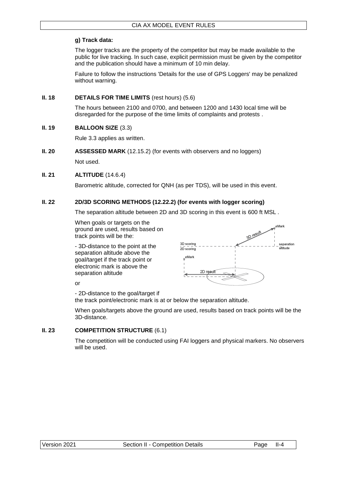# **g) Track data:**

The logger tracks are the property of the competitor but may be made available to the public for live tracking. In such case, explicit permission must be given by the competitor and the publication should have a minimum of 10 min delay.

Failure to follow the instructions 'Details for the use of GPS Loggers' may be penalized without warning.

# <span id="page-11-0"></span>**II. 18 DETAILS FOR TIME LIMITS** (rest hours) (5.6)

The hours between 2100 and 0700, and between 1200 and 1430 local time will be disregarded for the purpose of the time limits of complaints and protests .

# <span id="page-11-1"></span>**II. 19 BALLOON SIZE** (3.3)

Rule 3.3 applies as written.

# <span id="page-11-2"></span>**II. 20 <b>ASSESSED MARK** (12.15.2) (for events with observers and no loggers)

Not used.

# <span id="page-11-3"></span>**II. 21 ALTITUDE** (14.6.4)

Barometric altitude, corrected for QNH (as per TDS), will be used in this event.

# <span id="page-11-4"></span>**II. 22 2D/3D SCORING METHODS (12.22.2) (for events with logger scoring)**

The separation altitude between 2D and 3D scoring in this event is 600 ft MSL *.*

When goals or targets on the ground are used, results based on track points will be the:

- 3D-distance to the point at the separation altitude above the goal/target if the track point or electronic mark is above the separation altitude



or

- 2D-distance to the goal/target if

the track point/electronic mark is at or below the separation altitude.

When goals/targets above the ground are used, results based on track points will be the 3D-distance.

#### <span id="page-11-5"></span>**II. 23 COMPETITION STRUCTURE** (6.1)

The competition will be conducted using FAI loggers and physical markers. No observers will be used.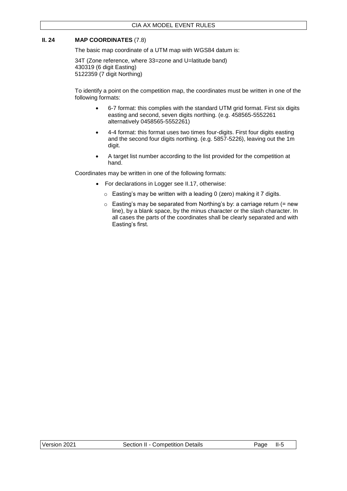# <span id="page-12-0"></span>**II. 24 MAP COORDINATES** (7.8)

The basic map coordinate of a UTM map with WGS84 datum is:

34T (Zone reference, where 33=zone and U=latitude band) 430319 (6 digit Easting) 5122359 (7 digit Northing)

To identify a point on the competition map, the coordinates must be written in one of the following formats:

- 6-7 format: this complies with the standard UTM grid format. First six digits easting and second, seven digits northing. (e.g. 458565-5552261 alternatively 0458565-5552261)
- 4-4 format: this format uses two times four-digits. First four digits easting and the second four digits northing. (e.g. 5857-5226), leaving out the 1m digit.
- A target list number according to the list provided for the competition at hand.

Coordinates may be written in one of the following formats:

- For declarations in Logger see II.17, otherwise:
	- $\circ$  Easting's may be written with a leading 0 (zero) making it 7 digits.
	- $\circ$  Easting's may be separated from Northing's by: a carriage return (= new line), by a blank space, by the minus character or the slash character. In all cases the parts of the coordinates shall be clearly separated and with Easting's first.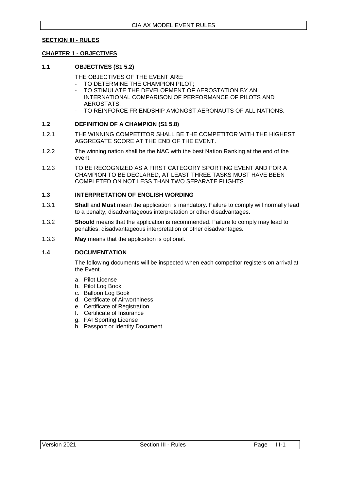#### <span id="page-13-0"></span>**SECTION III - RULES**

#### <span id="page-13-1"></span>**CHAPTER 1 - OBJECTIVES**

#### <span id="page-13-2"></span>**1.1 OBJECTIVES (S1 5.2)**

THE OBJECTIVES OF THE EVENT ARE:

- TO DETERMINE THE CHAMPION PILOT:
- TO STIMULATE THE DEVELOPMENT OF AEROSTATION BY AN INTERNATIONAL COMPARISON OF PERFORMANCE OF PILOTS AND AEROSTATS;
- TO REINFORCE FRIENDSHIP AMONGST AERONAUTS OF ALL NATIONS.

#### <span id="page-13-3"></span>**1.2 DEFINITION OF A CHAMPION (S1 5.8)**

- 1.2.1 THE WINNING COMPETITOR SHALL BE THE COMPETITOR WITH THE HIGHEST AGGREGATE SCORE AT THE END OF THE EVENT.
- 1.2.2 The winning nation shall be the NAC with the best Nation Ranking at the end of the event.
- 1.2.3 TO BE RECOGNIZED AS A FIRST CATEGORY SPORTING EVENT AND FOR A CHAMPION TO BE DECLARED, AT LEAST THREE TASKS MUST HAVE BEEN COMPLETED ON NOT LESS THAN TWO SEPARATE FLIGHTS.

# <span id="page-13-4"></span>**1.3 INTERPRETATION OF ENGLISH WORDING**

- 1.3.1 **Shall** and **Must** mean the application is mandatory. Failure to comply will normally lead to a penalty, disadvantageous interpretation or other disadvantages.
- 1.3.2 **Should** means that the application is recommended. Failure to comply may lead to penalties, disadvantageous interpretation or other disadvantages.
- 1.3.3 **May** means that the application is optional.

#### <span id="page-13-5"></span>**1.4 DOCUMENTATION**

The following documents will be inspected when each competitor registers on arrival at the Event.

- a. Pilot License
- b. Pilot Log Book
- c. Balloon Log Book
- d. Certificate of Airworthiness
- e. Certificate of Registration
- f. Certificate of Insurance
- g. FAI Sporting License
- h. Passport or Identity Document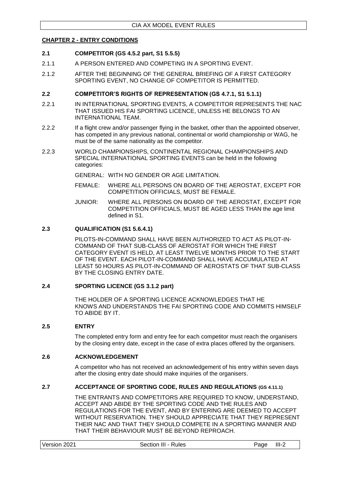#### <span id="page-14-0"></span>**CHAPTER 2 - ENTRY CONDITIONS**

#### <span id="page-14-1"></span>**2.1 COMPETITOR (GS 4.5.2 part, S1 5.5.5)**

- 2.1.1 A PERSON ENTERED AND COMPETING IN A SPORTING EVENT.
- 2.1.2 AFTER THE BEGINNING OF THE GENERAL BRIEFING OF A FIRST CATEGORY SPORTING EVENT, NO CHANGE OF COMPETITOR IS PERMITTED.

#### <span id="page-14-2"></span>**2.2 COMPETITOR'S RIGHTS OF REPRESENTATION (GS 4.7.1, S1 5.1.1)**

- 2.2.1 IN INTERNATIONAL SPORTING EVENTS, A COMPETITOR REPRESENTS THE NAC THAT ISSUED HIS FAI SPORTING LICENCE, UNLESS HE BELONGS TO AN INTERNATIONAL TEAM.
- 2.2.2 If a flight crew and/or passenger flying in the basket, other than the appointed observer, has competed in any previous national, continental or world championship or WAG, he must be of the same nationality as the competitor.
- 2.2.3 WORLD CHAMPIONSHIPS, CONTINENTAL REGIONAL CHAMPIONSHIPS AND SPECIAL INTERNATIONAL SPORTING EVENTS can be held in the following categories:

GENERAL: WITH NO GENDER OR AGE LIMITATION.

- FEMALE: WHERE ALL PERSONS ON BOARD OF THE AEROSTAT, EXCEPT FOR COMPETITION OFFICIALS, MUST BE FEMALE.
- JUNIOR: WHERE ALL PERSONS ON BOARD OF THE AEROSTAT, EXCEPT FOR COMPETITION OFFICIALS, MUST BE AGED LESS THAN the age limit defined in S1.

#### <span id="page-14-3"></span>**2.3 QUALIFICATION (S1 5.6.4.1)**

PILOTS-IN-COMMAND SHALL HAVE BEEN AUTHORIZED TO ACT AS PILOT-IN-COMMAND OF THAT SUB-CLASS OF AEROSTAT FOR WHICH THE FIRST CATEGORY EVENT IS HELD, AT LEAST TWELVE MONTHS PRIOR TO THE START OF THE EVENT. EACH PILOT-IN-COMMAND SHALL HAVE ACCUMULATED AT LEAST 50 HOURS AS PILOT-IN-COMMAND OF AEROSTATS OF THAT SUB-CLASS BY THE CLOSING ENTRY DATE.

#### <span id="page-14-4"></span>**2.4 SPORTING LICENCE (GS 3.1.2 part)**

THE HOLDER OF A SPORTING LICENCE ACKNOWLEDGES THAT HE KNOWS AND UNDERSTANDS THE FAI SPORTING CODE AND COMMITS HIMSELF TO ABIDE BY IT.

#### <span id="page-14-5"></span>**2.5 ENTRY**

The completed entry form and entry fee for each competitor must reach the organisers by the closing entry date, except in the case of extra places offered by the organisers.

#### <span id="page-14-6"></span>**2.6 ACKNOWLEDGEMENT**

A competitor who has not received an acknowledgement of his entry within seven days after the closing entry date should make inquiries of the organisers.

#### <span id="page-14-7"></span>**2.7 ACCEPTANCE OF SPORTING CODE, RULES AND REGULATIONS (GS 4.11.1)**

THE ENTRANTS AND COMPETITORS ARE REQUIRED TO KNOW, UNDERSTAND, ACCEPT AND ABIDE BY THE SPORTING CODE AND THE RULES AND REGULATIONS FOR THE EVENT, AND BY ENTERING ARE DEEMED TO ACCEPT WITHOUT RESERVATION. THEY SHOULD APPRECIATE THAT THEY REPRESENT THEIR NAC AND THAT THEY SHOULD COMPETE IN A SPORTING MANNER AND THAT THEIR BEHAVIOUR MUST BE BEYOND REPROACH.

| Version 2021        | $III-2$ |
|---------------------|---------|
| Section III - Rules | Page    |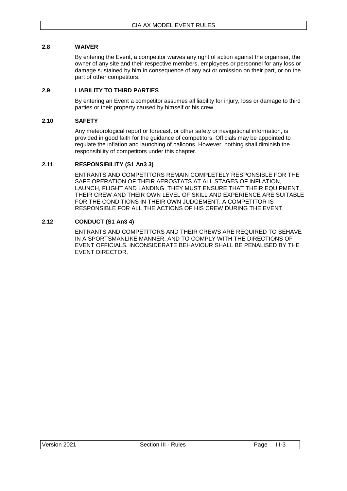### <span id="page-15-0"></span>**2.8 WAIVER**

By entering the Event, a competitor waives any right of action against the organiser, the owner of any site and their respective members, employees or personnel for any loss or damage sustained by him in consequence of any act or omission on their part, or on the part of other competitors.

### <span id="page-15-1"></span>**2.9 LIABILITY TO THIRD PARTIES**

By entering an Event a competitor assumes all liability for injury, loss or damage to third parties or their property caused by himself or his crew.

#### <span id="page-15-2"></span>**2.10 SAFETY**

Any meteorological report or forecast, or other safety or navigational information, is provided in good faith for the guidance of competitors. Officials may be appointed to regulate the inflation and launching of balloons. However, nothing shall diminish the responsibility of competitors under this chapter.

# <span id="page-15-3"></span>**2.11 RESPONSIBILITY (S1 An3 3)**

ENTRANTS AND COMPETITORS REMAIN COMPLETELY RESPONSIBLE FOR THE SAFE OPERATION OF THEIR AEROSTATS AT ALL STAGES OF INFLATION, LAUNCH, FLIGHT AND LANDING. THEY MUST ENSURE THAT THEIR EQUIPMENT, THEIR CREW AND THEIR OWN LEVEL OF SKILL AND EXPERIENCE ARE SUITABLE FOR THE CONDITIONS IN THEIR OWN JUDGEMENT. A COMPETITOR IS RESPONSIBLE FOR ALL THE ACTIONS OF HIS CREW DURING THE EVENT.

# <span id="page-15-4"></span>**2.12 CONDUCT (S1 An3 4)**

ENTRANTS AND COMPETITORS AND THEIR CREWS ARE REQUIRED TO BEHAVE IN A SPORTSMANLIKE MANNER, AND TO COMPLY WITH THE DIRECTIONS OF EVENT OFFICIALS. INCONSIDERATE BEHAVIOUR SHALL BE PENALISED BY THE EVENT DIRECTOR.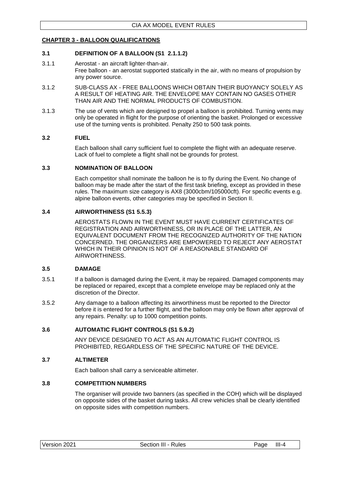# <span id="page-16-0"></span>**CHAPTER 3 - BALLOON QUALIFICATIONS**

# <span id="page-16-1"></span>**3.1 DEFINITION OF A BALLOON (S1 2.1.1.2)**

- 3.1.1 Aerostat an aircraft lighter-than-air. Free balloon - an aerostat supported statically in the air, with no means of propulsion by any power source.
- 3.1.2 SUB-CLASS AX FREE BALLOONS WHICH OBTAIN THEIR BUOYANCY SOLELY AS A RESULT OF HEATING AIR. THE ENVELOPE MAY CONTAIN NO GASES OTHER THAN AIR AND THE NORMAL PRODUCTS OF COMBUSTION.
- 3.1.3 The use of vents which are designed to propel a balloon is prohibited. Turning vents may only be operated in flight for the purpose of orienting the basket. Prolonged or excessive use of the turning vents is prohibited. Penalty 250 to 500 task points.

#### <span id="page-16-2"></span>**3.2 FUEL**

Each balloon shall carry sufficient fuel to complete the flight with an adequate reserve. Lack of fuel to complete a flight shall not be grounds for protest.

#### <span id="page-16-3"></span>**3.3 NOMINATION OF BALLOON**

Each competitor shall nominate the balloon he is to fly during the Event. No change of balloon may be made after the start of the first task briefing, except as provided in these rules. The maximum size category is AX8 (3000cbm/105000cft). For specific events e.g. alpine balloon events, other categories may be specified in Section II.

#### <span id="page-16-4"></span>**3.4 AIRWORTHINESS (S1 5.5.3)**

AEROSTATS FLOWN IN THE EVENT MUST HAVE CURRENT CERTIFICATES OF REGISTRATION AND AIRWORTHINESS, OR IN PLACE OF THE LATTER, AN EQUIVALENT DOCUMENT FROM THE RECOGNIZED AUTHORITY OF THE NATION CONCERNED. THE ORGANIZERS ARE EMPOWERED TO REJECT ANY AEROSTAT WHICH IN THEIR OPINION IS NOT OF A REASONABLE STANDARD OF AIRWORTHINESS.

#### <span id="page-16-5"></span>**3.5 DAMAGE**

- 3.5.1 If a balloon is damaged during the Event, it may be repaired. Damaged components may be replaced or repaired, except that a complete envelope may be replaced only at the discretion of the Director.
- 3.5.2 Any damage to a balloon affecting its airworthiness must be reported to the Director before it is entered for a further flight, and the balloon may only be flown after approval of any repairs. Penalty: up to 1000 competition points.

### <span id="page-16-6"></span>**3.6 AUTOMATIC FLIGHT CONTROLS (S1 5.9.2)**

ANY DEVICE DESIGNED TO ACT AS AN AUTOMATIC FLIGHT CONTROL IS PROHIBITED, REGARDLESS OF THE SPECIFIC NATURE OF THE DEVICE.

#### <span id="page-16-7"></span>**3.7 ALTIMETER**

Each balloon shall carry a serviceable altimeter.

#### <span id="page-16-8"></span>**3.8 COMPETITION NUMBERS**

The organiser will provide two banners (as specified in the COH) which will be displayed on opposite sides of the basket during tasks. All crew vehicles shall be clearly identified on opposite sides with competition numbers.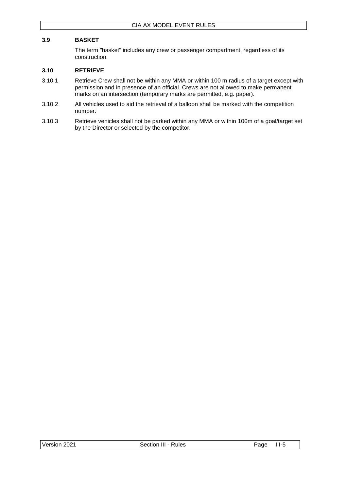# <span id="page-17-0"></span>**3.9 BASKET**

The term "basket" includes any crew or passenger compartment, regardless of its construction.

#### <span id="page-17-1"></span>**3.10 RETRIEVE**

- 3.10.1 Retrieve Crew shall not be within any MMA or within 100 m radius of a target except with permission and in presence of an official. Crews are not allowed to make permanent marks on an intersection (temporary marks are permitted, e.g. paper).
- 3.10.2 All vehicles used to aid the retrieval of a balloon shall be marked with the competition number.
- 3.10.3 Retrieve vehicles shall not be parked within any MMA or within 100m of a goal/target set by the Director or selected by the competitor.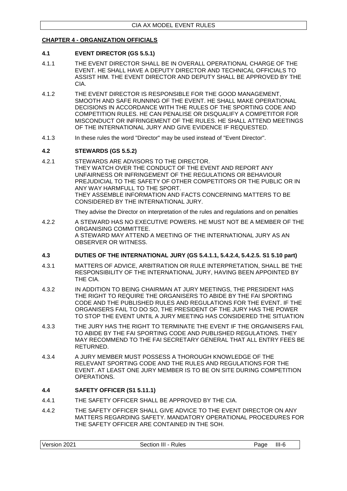# <span id="page-18-0"></span>**CHAPTER 4 - ORGANIZATION OFFICIALS**

#### <span id="page-18-1"></span>**4.1 EVENT DIRECTOR (GS 5.5.1)**

- 4.1.1 THE EVENT DIRECTOR SHALL BE IN OVERALL OPERATIONAL CHARGE OF THE EVENT. HE SHALL HAVE A DEPUTY DIRECTOR AND TECHNICAL OFFICIALS TO ASSIST HIM. THE EVENT DIRECTOR AND DEPUTY SHALL BE APPROVED BY THE CIA.
- 4.1.2 THE EVENT DIRECTOR IS RESPONSIBLE FOR THE GOOD MANAGEMENT, SMOOTH AND SAFE RUNNING OF THE EVENT. HE SHALL MAKE OPERATIONAL DECISIONS IN ACCORDANCE WITH THE RULES OF THE SPORTING CODE AND COMPETITION RULES. HE CAN PENALISE OR DISQUALIFY A COMPETITOR FOR MISCONDUCT OR INFRINGEMENT OF THE RULES. HE SHALL ATTEND MEETINGS OF THE INTERNATIONAL JURY AND GIVE EVIDENCE IF REQUESTED.
- 4.1.3 In these rules the word "Director" may be used instead of "Event Director".

#### <span id="page-18-2"></span>**4.2 STEWARDS (GS 5.5.2)**

4.2.1 STEWARDS ARE ADVISORS TO THE DIRECTOR. THEY WATCH OVER THE CONDUCT OF THE EVENT AND REPORT ANY UNFAIRNESS OR INFRINGEMENT OF THE REGULATIONS OR BEHAVIOUR PREJUDICIAL TO THE SAFETY OF OTHER COMPETITORS OR THE PUBLIC OR IN ANY WAY HARMFULL TO THE SPORT. THEY ASSEMBLE INFORMATION AND FACTS CONCERNING MATTERS TO BE CONSIDERED BY THE INTERNATIONAL JURY.

They advise the Director on interpretation of the rules and regulations and on penalties

4.2.2 A STEWARD HAS NO EXECUTIVE POWERS. HE MUST NOT BE A MEMBER OF THE ORGANISING COMMITTEE. A STEWARD MAY ATTEND A MEETING OF THE INTERNATIONAL JURY AS AN OBSERVER OR WITNESS.

#### <span id="page-18-3"></span>**4.3 DUTIES OF THE INTERNATIONAL JURY (GS 5.4.1.1, 5.4.2.4, 5.4.2.5. S1 5.10 part)**

- 4.3.1 MATTERS OF ADVICE, ARBITRATION OR RULE INTERPRETATION, SHALL BE THE RESPONSIBILITY OF THE INTERNATIONAL JURY, HAVING BEEN APPOINTED BY THE CIA.
- 4.3.2 IN ADDITION TO BEING CHAIRMAN AT JURY MEETINGS, THE PRESIDENT HAS THE RIGHT TO REQUIRE THE ORGANISERS TO ABIDE BY THE FAI SPORTING CODE AND THE PUBLISHED RULES AND REGULATIONS FOR THE EVENT. IF THE ORGANISERS FAIL TO DO SO, THE PRESIDENT OF THE JURY HAS THE POWER TO STOP THE EVENT UNTIL A JURY MEETING HAS CONSIDERED THE SITUATION
- 4.3.3 THE JURY HAS THE RIGHT TO TERMINATE THE EVENT IF THE ORGANISERS FAIL TO ABIDE BY THE FAI SPORTING CODE AND PUBLISHED REGULATIONS. THEY MAY RECOMMEND TO THE FAI SECRETARY GENERAL THAT ALL ENTRY FEES BE RETURNED.
- 4.3.4 A JURY MEMBER MUST POSSESS A THOROUGH KNOWLEDGE OF THE RELEVANT SPORTING CODE AND THE RULES AND REGULATIONS FOR THE EVENT. AT LEAST ONE JURY MEMBER IS TO BE ON SITE DURING COMPETITION OPERATIONS.

#### <span id="page-18-4"></span>**4.4 SAFETY OFFICER (S1 5.11.1)**

- 4.4.1 THE SAFETY OFFICER SHALL BE APPROVED BY THE CIA.
- 4.4.2 THE SAFETY OFFICER SHALL GIVE ADVICE TO THE EVENT DIRECTOR ON ANY MATTERS REGARDING SAFETY. MANDATORY OPERATIONAL PROCEDURES FOR THE SAFETY OFFICER ARE CONTAINED IN THE SOH.

| Version 2021<br>$III-6$<br>Section III -<br>ade<br><b>Rules</b> |
|-----------------------------------------------------------------|
|-----------------------------------------------------------------|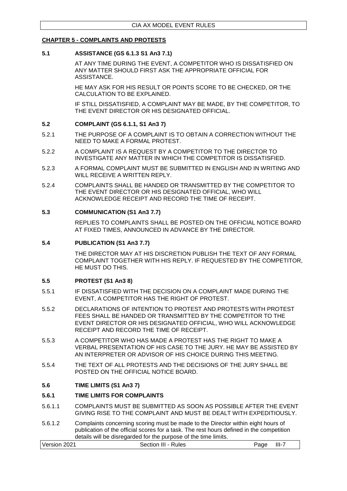# <span id="page-19-0"></span>**CHAPTER 5 - COMPLAINTS AND PROTESTS**

#### <span id="page-19-1"></span>**5.1 ASSISTANCE (GS 6.1.3 S1 An3 7.1)**

AT ANY TIME DURING THE EVENT, A COMPETITOR WHO IS DISSATISFIED ON ANY MATTER SHOULD FIRST ASK THE APPROPRIATE OFFICIAL FOR ASSISTANCE.

HE MAY ASK FOR HIS RESULT OR POINTS SCORE TO BE CHECKED, OR THE CALCULATION TO BE EXPLAINED.

IF STILL DISSATISFIED, A COMPLAINT MAY BE MADE, BY THE COMPETITOR, TO THE EVENT DIRECTOR OR HIS DESIGNATED OFFICIAL.

#### <span id="page-19-2"></span>**5.2 COMPLAINT (GS 6.1.1, S1 An3 7)**

- 5.2.1 THE PURPOSE OF A COMPLAINT IS TO OBTAIN A CORRECTION WITHOUT THE NEED TO MAKE A FORMAL PROTEST.
- 5.2.2 A COMPLAINT IS A REQUEST BY A COMPETITOR TO THE DIRECTOR TO INVESTIGATE ANY MATTER IN WHICH THE COMPETITOR IS DISSATISFIED.
- 5.2.3 A FORMAL COMPLAINT MUST BE SUBMITTED IN ENGLISH AND IN WRITING AND WILL RECEIVE A WRITTEN REPLY.
- 5.2.4 COMPLAINTS SHALL BE HANDED OR TRANSMITTED BY THE COMPETITOR TO THE EVENT DIRECTOR OR HIS DESIGNATED OFFICIAL, WHO WILL ACKNOWLEDGE RECEIPT AND RECORD THE TIME OF RECEIPT.

#### <span id="page-19-3"></span>**5.3 COMMUNICATION (S1 An3 7.7)**

REPLIES TO COMPLAINTS SHALL BE POSTED ON THE OFFICIAL NOTICE BOARD AT FIXED TIMES, ANNOUNCED IN ADVANCE BY THE DIRECTOR.

#### <span id="page-19-4"></span>**5.4 PUBLICATION (S1 An3 7.7)**

THE DIRECTOR MAY AT HIS DISCRETION PUBLISH THE TEXT OF ANY FORMAL COMPLAINT TOGETHER WITH HIS REPLY. IF REQUESTED BY THE COMPETITOR, HE MUST DO THIS.

#### <span id="page-19-5"></span>**5.5 PROTEST (S1 An3 8)**

- 5.5.1 IF DISSATISFIED WITH THE DECISION ON A COMPLAINT MADE DURING THE EVENT, A COMPETITOR HAS THE RIGHT OF PROTEST.
- 5.5.2 DECLARATIONS OF INTENTION TO PROTEST AND PROTESTS WITH PROTEST FEES SHALL BE HANDED OR TRANSMITTED BY THE COMPETITOR TO THE EVENT DIRECTOR OR HIS DESIGNATED OFFICIAL, WHO WILL ACKNOWLEDGE RECEIPT AND RECORD THE TIME OF RECEIPT.
- 5.5.3 A COMPETITOR WHO HAS MADE A PROTEST HAS THE RIGHT TO MAKE A VERBAL PRESENTATION OF HIS CASE TO THE JURY. HE MAY BE ASSISTED BY AN INTERPRETER OR ADVISOR OF HIS CHOICE DURING THIS MEETING.
- 5.5.4 THE TEXT OF ALL PROTESTS AND THE DECISIONS OF THE JURY SHALL BE POSTED ON THE OFFICIAL NOTICE BOARD.

#### <span id="page-19-6"></span>**5.6 TIME LIMITS (S1 An3 7)**

#### <span id="page-19-7"></span>**5.6.1 TIME LIMITS FOR COMPLAINTS**

- 5.6.1.1 COMPLAINTS MUST BE SUBMITTED AS SOON AS POSSIBLE AFTER THE EVENT GIVING RISE TO THE COMPLAINT AND MUST BE DEALT WITH EXPEDITIOUSLY.
- 5.6.1.2 Complaints concerning scoring must be made to the Director within eight hours of publication of the official scores for a task. The rest hours defined in the competition details will be disregarded for the purpose of the time limits.

| Version 2021        | $III-7$ |
|---------------------|---------|
| Section III - Rules | Page    |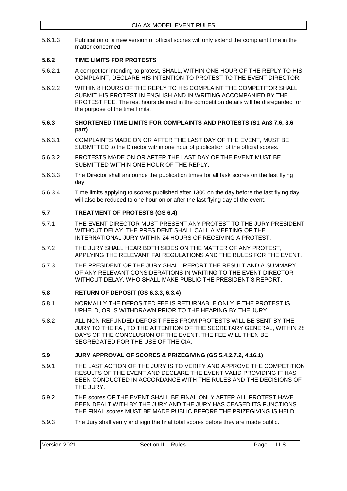5.6.1.3 Publication of a new version of official scores will only extend the complaint time in the matter concerned.

# <span id="page-20-0"></span>**5.6.2 TIME LIMITS FOR PROTESTS**

- 5.6.2.1 A competitor intending to protest, SHALL, WITHIN ONE HOUR OF THE REPLY TO HIS COMPLAINT, DECLARE HIS INTENTION TO PROTEST TO THE EVENT DIRECTOR.
- 5.6.2.2 WITHIN 8 HOURS OF THE REPLY TO HIS COMPLAINT THE COMPETITOR SHALL SUBMIT HIS PROTEST IN ENGLISH AND IN WRITING ACCOMPANIED BY THE PROTEST FEE. The rest hours defined in the competition details will be disregarded for the purpose of the time limits.
- <span id="page-20-1"></span>**5.6.3 SHORTENED TIME LIMITS FOR COMPLAINTS AND PROTESTS (S1 An3 7.6, 8.6 part)**
- 5.6.3.1 COMPLAINTS MADE ON OR AFTER THE LAST DAY OF THE EVENT, MUST BE SUBMITTED to the Director within one hour of publication of the official scores.
- 5.6.3.2 PROTESTS MADE ON OR AFTER THE LAST DAY OF THE EVENT MUST BE SUBMITTED WITHIN ONE HOUR OF THE REPLY.
- 5.6.3.3 The Director shall announce the publication times for all task scores on the last flying day.
- 5.6.3.4 Time limits applying to scores published after 1300 on the day before the last flying day will also be reduced to one hour on or after the last flying day of the event.

# <span id="page-20-2"></span>**5.7 TREATMENT OF PROTESTS (GS 6.4)**

- 5.7.1 THE EVENT DIRECTOR MUST PRESENT ANY PROTEST TO THE JURY PRESIDENT WITHOUT DELAY. THE PRESIDENT SHALL CALL A MEETING OF THE INTERNATIONAL JURY WITHIN 24 HOURS OF RECEIVING A PROTEST.
- 5.7.2 THE JURY SHALL HEAR BOTH SIDES ON THE MATTER OF ANY PROTEST, APPLYING THE RELEVANT FAI REGULATIONS AND THE RULES FOR THE EVENT.
- 5.7.3 THE PRESIDENT OF THE JURY SHALL REPORT THE RESULT AND A SUMMARY OF ANY RELEVANT CONSIDERATIONS IN WRITING TO THE EVENT DIRECTOR WITHOUT DELAY, WHO SHALL MAKE PUBLIC THE PRESIDENT'S REPORT.

#### <span id="page-20-3"></span>**5.8 RETURN OF DEPOSIT (GS 6.3.3, 6.3.4)**

- 5.8.1 NORMALLY THE DEPOSITED FEE IS RETURNABLE ONLY IF THE PROTEST IS UPHELD, OR IS WITHDRAWN PRIOR TO THE HEARING BY THE JURY.
- 5.8.2 ALL NON-REFUNDED DEPOSIT FEES FROM PROTESTS WILL BE SENT BY THE JURY TO THE FAI, TO THE ATTENTION OF THE SECRETARY GENERAL, WITHIN 28 DAYS OF THE CONCLUSION OF THE EVENT. THE FEE WILL THEN BE SEGREGATED FOR THE USE OF THE CIA.

#### <span id="page-20-4"></span>**5.9 JURY APPROVAL OF SCORES & PRIZEGIVING (GS 5.4.2.7.2, 4.16.1)**

- 5.9.1 THE LAST ACTION OF THE JURY IS TO VERIFY AND APPROVE THE COMPETITION RESULTS OF THE EVENT AND DECLARE THE EVENT VALID PROVIDING IT HAS BEEN CONDUCTED IN ACCORDANCE WITH THE RULES AND THE DECISIONS OF THE JURY.
- 5.9.2 THE scores OF THE EVENT SHALL BE FINAL ONLY AFTER ALL PROTEST HAVE BEEN DEALT WITH BY THE JURY AND THE JURY HAS CEASED ITS FUNCTIONS. THE FINAL scores MUST BE MADE PUBLIC BEFORE THE PRIZEGIVING IS HELD.
- 5.9.3 The Jury shall verify and sign the final total scores before they are made public.

| Version 2021<br>Section III - Rules<br>$III-8$<br>Page |
|--------------------------------------------------------|
|--------------------------------------------------------|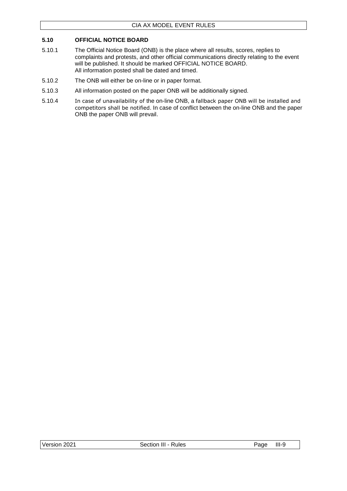# <span id="page-21-0"></span>**5.10 OFFICIAL NOTICE BOARD**

- 5.10.1 The Official Notice Board (ONB) is the place where all results, scores, replies to complaints and protests, and other official communications directly relating to the event will be published. It should be marked OFFICIAL NOTICE BOARD. All information posted shall be dated and timed.
- 5.10.2 The ONB will either be on-line or in paper format.
- 5.10.3 All information posted on the paper ONB will be additionally signed.
- 5.10.4 In case of unavailability of the on-line ONB, a fallback paper ONB will be installed and competitors shall be notified. In case of conflict between the on-line ONB and the paper ONB the paper ONB will prevail.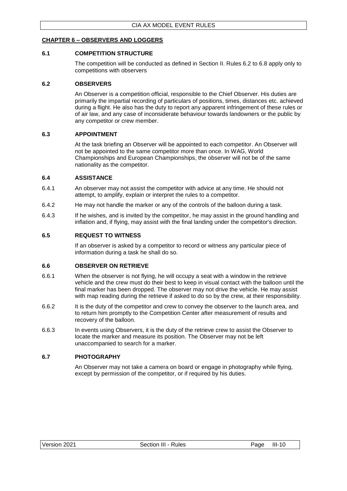# <span id="page-22-0"></span>**CHAPTER 6 – OBSERVERS AND LOGGERS**

#### <span id="page-22-1"></span>**6.1 COMPETITION STRUCTURE**

The competition will be conducted as defined in Section II. Rules 6.2 to 6.8 apply only to competitions with observers

#### <span id="page-22-2"></span>**6.2 OBSERVERS**

An Observer is a competition official, responsible to the Chief Observer. His duties are primarily the impartial recording of particulars of positions, times, distances etc. achieved during a flight. He also has the duty to report any apparent infringement of these rules or of air law, and any case of inconsiderate behaviour towards landowners or the public by any competitor or crew member.

#### <span id="page-22-3"></span>**6.3 APPOINTMENT**

At the task briefing an Observer will be appointed to each competitor. An Observer will not be appointed to the same competitor more than once. In WAG, World Championships and European Championships, the observer will not be of the same nationality as the competitor.

#### <span id="page-22-4"></span>**6.4 ASSISTANCE**

- 6.4.1 An observer may not assist the competitor with advice at any time. He should not attempt, to amplify, explain or interpret the rules to a competitor.
- 6.4.2 He may not handle the marker or any of the controls of the balloon during a task.
- 6.4.3 If he wishes, and is invited by the competitor, he may assist in the ground handling and inflation and, if flying, may assist with the final landing under the competitor's direction.

#### <span id="page-22-5"></span>**6.5 REQUEST TO WITNESS**

If an observer is asked by a competitor to record or witness any particular piece of information during a task he shall do so.

#### <span id="page-22-6"></span>**6.6 OBSERVER ON RETRIEVE**

- 6.6.1 When the observer is not flying, he will occupy a seat with a window in the retrieve vehicle and the crew must do their best to keep in visual contact with the balloon until the final marker has been dropped. The observer may not drive the vehicle. He may assist with map reading during the retrieve if asked to do so by the crew, at their responsibility.
- 6.6.2 It is the duty of the competitor and crew to convey the observer to the launch area, and to return him promptly to the Competition Center after measurement of results and recovery of the balloon.
- 6.6.3 In events using Observers, it is the duty of the retrieve crew to assist the Observer to locate the marker and measure its position. The Observer may not be left unaccompanied to search for a marker.

#### <span id="page-22-7"></span>**6.7 PHOTOGRAPHY**

An Observer may not take a camera on board or engage in photography while flying, except by permission of the competitor, or if required by his duties.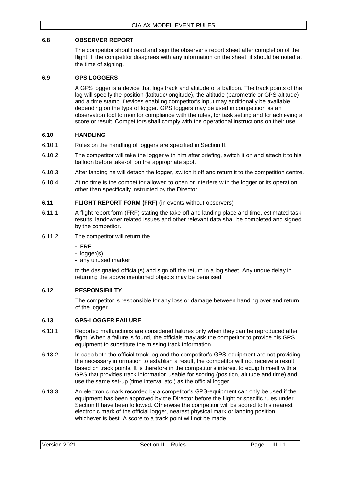# <span id="page-23-0"></span>**6.8 OBSERVER REPORT**

The competitor should read and sign the observer's report sheet after completion of the flight. If the competitor disagrees with any information on the sheet, it should be noted at the time of signing.

# <span id="page-23-1"></span>**6.9 GPS LOGGERS**

A GPS logger is a device that logs track and altitude of a balloon. The track points of the log will specify the position (latitude/longitude), the altitude (barometric or GPS altitude) and a time stamp. Devices enabling competitor's input may additionally be available depending on the type of logger. GPS loggers may be used in competition as an observation tool to monitor compliance with the rules, for task setting and for achieving a score or result. Competitors shall comply with the operational instructions on their use.

# <span id="page-23-2"></span>**6.10 HANDLING**

- 6.10.1 Rules on the handling of loggers are specified in Section II.
- 6.10.2 The competitor will take the logger with him after briefing, switch it on and attach it to his balloon before take-off on the appropriate spot.
- 6.10.3 After landing he will detach the logger, switch it off and return it to the competition centre.
- 6.10.4 At no time is the competitor allowed to open or interfere with the logger or its operation other than specifically instructed by the Director.

# <span id="page-23-3"></span>**6.11 FLIGHT REPORT FORM (FRF)** (in events without observers)

- 6.11.1 A flight report form (FRF) stating the take-off and landing place and time, estimated task results, landowner related issues and other relevant data shall be completed and signed by the competitor.
- 6.11.2 The competitor will return the
	- FRF
	- logger(s)
	- any unused marker

to the designated official(s) and sign off the return in a log sheet. Any undue delay in returning the above mentioned objects may be penalised.

# <span id="page-23-4"></span>**6.12 RESPONSIBILTY**

The competitor is responsible for any loss or damage between handing over and return of the logger.

#### <span id="page-23-5"></span>**6.13 GPS-LOGGER FAILURE**

- 6.13.1 Reported malfunctions are considered failures only when they can be reproduced after flight. When a failure is found, the officials may ask the competitor to provide his GPS equipment to substitute the missing track information.
- 6.13.2 In case both the official track log and the competitor's GPS-equipment are not providing the necessary information to establish a result, the competitor will not receive a result based on track points. It is therefore in the competitor's interest to equip himself with a GPS that provides track information usable for scoring (position, altitude and time) and use the same set-up (time interval etc.) as the official logger.
- 6.13.3 An electronic mark recorded by a competitor's GPS-equipment can only be used if the equipment has been approved by the Director before the flight or specific rules under Section II have been followed. Otherwise the competitor will be scored to his nearest electronic mark of the official logger, nearest physical mark or landing position, whichever is best. A score to a track point will not be made.

| III-<br>Version<br>202 <sup>4</sup><br>'aqe<br>{ules<br>Section<br>-ш |
|-----------------------------------------------------------------------|
|-----------------------------------------------------------------------|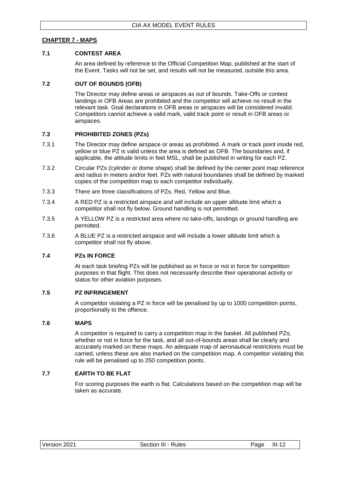# <span id="page-24-0"></span>**CHAPTER 7 - MAPS**

#### <span id="page-24-1"></span>**7.1 CONTEST AREA**

An area defined by reference to the Official Competition Map, published at the start of the Event. Tasks will not be set, and results will not be measured, outside this area.

#### <span id="page-24-2"></span>**7.2 OUT OF BOUNDS (OFB)**

The Director may define areas or airspaces as out of bounds. Take-Offs or contest landings in OFB Areas are prohibited and the competitor will achieve no result in the relevant task. Goal declarations in OFB areas or airspaces will be considered invalid. Competitors cannot achieve a valid mark, valid track point or result in OFB areas or airspaces.

#### <span id="page-24-3"></span>**7.3 PROHIBITED ZONES (PZs)**

- 7.3.1 The Director may define airspace or areas as prohibited. A mark or track point inside red, yellow or blue PZ is valid unless the area is defined as OFB. The boundaries and, if applicable, the altitude limits in feet MSL, shall be published in writing for each PZ.
- 7.3.2 Circular PZs (cylinder or dome shape) shall be defined by the center point map reference and radius in meters and/or feet. PZs with natural boundaries shall be defined by marked copies of the competition map to each competitor individually.
- 7.3.3 There are three classifications of PZs, Red, Yellow and Blue.
- 7.3.4 A RED PZ is a restricted airspace and will include an upper altitude limit which a competitor shall not fly below. Ground handling is not permitted.
- 7.3.5 A YELLOW PZ is a restricted area where no take-offs, landings or ground handling are permitted.
- 7.3.6 A BLUE PZ is a restricted airspace and will include a lower altitude limit which a competitor shall not fly above.

#### <span id="page-24-4"></span>**7.4 PZs IN FORCE**

At each task briefing PZs will be published as in force or not in force for competition purposes in that flight. This does not necessarily describe their operational activity or status for other aviation purposes.

#### <span id="page-24-5"></span>**7.5 PZ INFRINGEMENT**

A competitor violating a PZ in force will be penalised by up to 1000 competition points, proportionally to the offence.

#### <span id="page-24-6"></span>**7.6 MAPS**

A competitor is required to carry a competition map in the basket. All published PZs, whether or not in force for the task, and all out-of-bounds areas shall be clearly and accurately marked on these maps. An adequate map of aeronautical restrictions must be carried, unless these are also marked on the competition map. A competitor violating this rule will be penalised up to 250 competition points.

#### <span id="page-24-7"></span>**7.7 EARTH TO BE FLAT**

For scoring purposes the earth is flat. Calculations based on the competition map will be taken as accurate.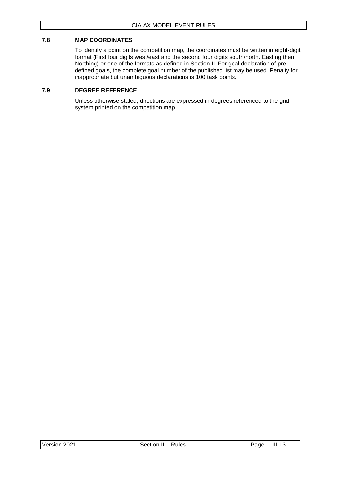# <span id="page-25-0"></span>**7.8 MAP COORDINATES**

To identify a point on the competition map, the coordinates must be written in eight-digit format (First four digits west/east and the second four digits south/north. Easting then Northing) or one of the formats as defined in Section II. For goal declaration of predefined goals, the complete goal number of the published list may be used. Penalty for inappropriate but unambiguous declarations is 100 task points.

### <span id="page-25-1"></span>**7.9 DEGREE REFERENCE**

Unless otherwise stated, directions are expressed in degrees referenced to the grid system printed on the competition map.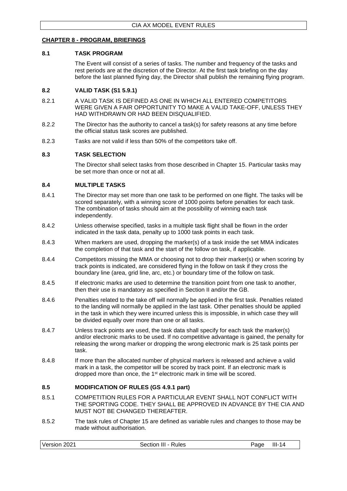#### <span id="page-26-0"></span>**CHAPTER 8 - PROGRAM, BRIEFINGS**

#### <span id="page-26-1"></span>**8.1 TASK PROGRAM**

The Event will consist of a series of tasks. The number and frequency of the tasks and rest periods are at the discretion of the Director. At the first task briefing on the day before the last planned flying day, the Director shall publish the remaining flying program.

#### <span id="page-26-2"></span>**8.2 VALID TASK (S1 5.9.1)**

- 8.2.1 A VALID TASK IS DEFINED AS ONE IN WHICH ALL ENTERED COMPETITORS WERE GIVEN A FAIR OPPORTUNITY TO MAKE A VALID TAKE-OFF, UNLESS THEY HAD WITHDRAWN OR HAD BEEN DISQUALIFIED.
- 8.2.2 The Director has the authority to cancel a task(s) for safety reasons at any time before the official status task scores are published.
- 8.2.3 Tasks are not valid if less than 50% of the competitors take off.

# <span id="page-26-3"></span>**8.3 TASK SELECTION**

The Director shall select tasks from those described in Chapter 15. Particular tasks may be set more than once or not at all.

#### <span id="page-26-4"></span>**8.4 MULTIPLE TASKS**

- 8.4.1 The Director may set more than one task to be performed on one flight. The tasks will be scored separately, with a winning score of 1000 points before penalties for each task. The combination of tasks should aim at the possibility of winning each task independently.
- 8.4.2 Unless otherwise specified, tasks in a multiple task flight shall be flown in the order indicated in the task data, penalty up to 1000 task points in each task.
- 8.4.3 When markers are used, dropping the marker(s) of a task inside the set MMA indicates the completion of that task and the start of the follow on task, if applicable.
- 8.4.4 Competitors missing the MMA or choosing not to drop their marker(s) or when scoring by track points is indicated, are considered flying in the follow on task if they cross the boundary line (area, grid line, arc, etc.) or boundary time of the follow on task.
- 8.4.5 If electronic marks are used to determine the transition point from one task to another, then their use is mandatory as specified in Section II and/or the GB.
- 8.4.6 Penalties related to the take off will normally be applied in the first task. Penalties related to the landing will normally be applied in the last task. Other penalties should be applied in the task in which they were incurred unless this is impossible, in which case they will be divided equally over more than one or all tasks.
- 8.4.7 Unless track points are used, the task data shall specify for each task the marker(s) and/or electronic marks to be used. If no competitive advantage is gained, the penalty for releasing the wrong marker or dropping the wrong electronic mark is 25 task points per task.
- 8.4.8 If more than the allocated number of physical markers is released and achieve a valid mark in a task, the competitor will be scored by track point. If an electronic mark is dropped more than once, the 1st electronic mark in time will be scored.

#### <span id="page-26-5"></span>**8.5 MODIFICATION OF RULES (GS 4.9.1 part)**

- 8.5.1 COMPETITION RULES FOR A PARTICULAR EVENT SHALL NOT CONFLICT WITH THE SPORTING CODE. THEY SHALL BE APPROVED IN ADVANCE BY THE CIA AND MUST NOT BE CHANGED THEREAFTER.
- 8.5.2 The task rules of Chapter 15 are defined as variable rules and changes to those may be made without authorisation.

| Version 2021<br>$III-14$<br>Section III - Rules<br>Page |  |
|---------------------------------------------------------|--|
|---------------------------------------------------------|--|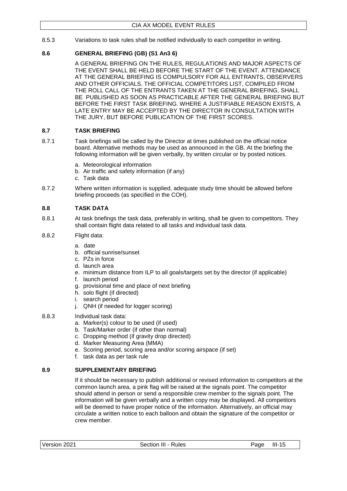8.5.3 Variations to task rules shall be notified individually to each competitor in writing.

# <span id="page-27-0"></span>**8.6 GENERAL BRIEFING (GB) (S1 An3 6)**

A GENERAL BRIEFING ON THE RULES, REGULATIONS AND MAJOR ASPECTS OF THE EVENT SHALL BE HELD BEFORE THE START OF THE EVENT. ATTENDANCE AT THE GENERAL BRIEFING IS COMPULSORY FOR ALL ENTRANTS, OBSERVERS AND OTHER OFFICIALS. THE OFFICIAL COMPETITORS LIST, COMPILED FROM THE ROLL CALL OF THE ENTRANTS TAKEN AT THE GENERAL BRIEFING, SHALL BE PUBLISHED AS SOON AS PRACTICABLE AFTER THE GENERAL BRIEFING BUT BEFORE THE FIRST TASK BRIEFING. WHERE A JUSTIFIABLE REASON EXISTS, A LATE ENTRY MAY BE ACCEPTED BY THE DIRECTOR IN CONSULTATION WITH THE JURY, BUT BEFORE PUBLICATION OF THE FIRST SCORES.

# <span id="page-27-1"></span>**8.7 TASK BRIEFING**

- 8.7.1 Task briefings will be called by the Director at times published on the official notice board. Alternative methods may be used as announced in the GB. At the briefing the following information will be given verbally, by written circular or by posted notices.
	- a. Meteorological information
	- b. Air traffic and safety information (if any)
	- c. Task data
- 8.7.2 Where written information is supplied, adequate study time should be allowed before briefing proceeds (as specified in the COH).

# <span id="page-27-2"></span>**8.8 TASK DATA**

- 8.8.1 At task briefings the task data, preferably in writing, shall be given to competitors. They shall contain flight data related to all tasks and individual task data.
- 8.8.2 Flight data:
	- a. date
	- b. official sunrise/sunset
	- c. PZs in force
	- d. launch area
	- e. minimum distance from ILP to all goals/targets set by the director (if applicable)
	- f. launch period
	- g. provisional time and place of next briefing
	- h. solo flight (if directed)
	- i. search period
	- j. QNH (if needed for logger scoring)
- 8.8.3 Individual task data:
	- a. Marker(s) colour to be used (if used)
	- b. Task/Marker order (if other than normal)
	- c. Dropping method (if gravity drop directed)
	- d. Marker Measuring Area (MMA)
	- e. Scoring period, scoring area and/or scoring airspace (if set)
	- f. task data as per task rule

# <span id="page-27-3"></span>**8.9 SUPPLEMENTARY BRIEFING**

If it should be necessary to publish additional or revised information to competitors at the common launch area, a pink flag will be raised at the signals point. The competitor should attend in person or send a responsible crew member to the signals point. The information will be given verbally and a written copy may be displayed. All competitors will be deemed to have proper notice of the information. Alternatively, an official may circulate a written notice to each balloon and obtain the signature of the competitor or crew member.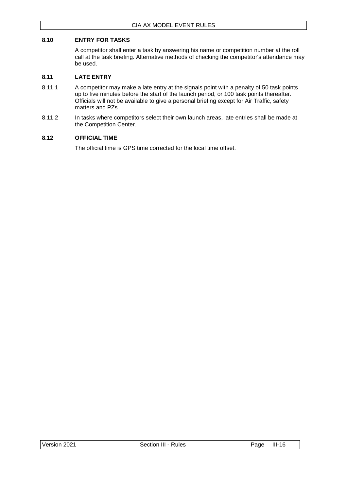# <span id="page-28-0"></span>**8.10 ENTRY FOR TASKS**

A competitor shall enter a task by answering his name or competition number at the roll call at the task briefing. Alternative methods of checking the competitor's attendance may be used.

### <span id="page-28-1"></span>**8.11 LATE ENTRY**

- 8.11.1 A competitor may make a late entry at the signals point with a penalty of 50 task points up to five minutes before the start of the launch period, or 100 task points thereafter. Officials will not be available to give a personal briefing except for Air Traffic, safety matters and PZs.
- 8.11.2 In tasks where competitors select their own launch areas, late entries shall be made at the Competition Center.

#### <span id="page-28-2"></span>**8.12 OFFICIAL TIME**

The official time is GPS time corrected for the local time offset.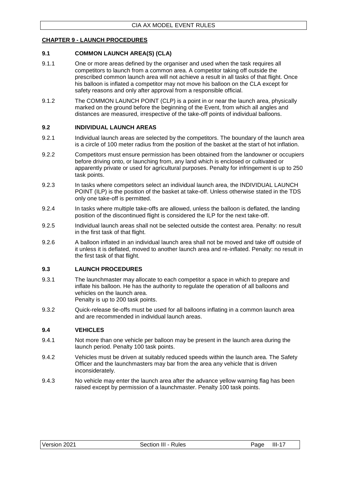# <span id="page-29-0"></span>**CHAPTER 9 - LAUNCH PROCEDURES**

#### <span id="page-29-1"></span>**9.1 COMMON LAUNCH AREA(S) (CLA)**

- 9.1.1 One or more areas defined by the organiser and used when the task requires all competitors to launch from a common area. A competitor taking off outside the prescribed common launch area will not achieve a result in all tasks of that flight. Once his balloon is inflated a competitor may not move his balloon on the CLA except for safety reasons and only after approval from a responsible official.
- 9.1.2 The COMMON LAUNCH POINT (CLP) is a point in or near the launch area, physically marked on the ground before the beginning of the Event, from which all angles and distances are measured, irrespective of the take-off points of individual balloons.

#### <span id="page-29-2"></span>**9.2 INDIVIDUAL LAUNCH AREAS**

- 9.2.1 Individual launch areas are selected by the competitors. The boundary of the launch area is a circle of 100 meter radius from the position of the basket at the start of hot inflation.
- 9.2.2 Competitors must ensure permission has been obtained from the landowner or occupiers before driving onto, or launching from, any land which is enclosed or cultivated or apparently private or used for agricultural purposes. Penalty for infringement is up to 250 task points.
- 9.2.3 In tasks where competitors select an individual launch area, the INDIVIDUAL LAUNCH POINT (ILP) is the position of the basket at take-off. Unless otherwise stated in the TDS only one take-off is permitted.
- 9.2.4 In tasks where multiple take-offs are allowed, unless the balloon is deflated, the landing position of the discontinued flight is considered the ILP for the next take-off.
- 9.2.5 Individual launch areas shall not be selected outside the contest area. Penalty: no result in the first task of that flight.
- 9.2.6 A balloon inflated in an individual launch area shall not be moved and take off outside of it unless it is deflated, moved to another launch area and re-inflated. Penalty: no result in the first task of that flight.

#### <span id="page-29-3"></span>**9.3 LAUNCH PROCEDURES**

- 9.3.1 The launchmaster may allocate to each competitor a space in which to prepare and inflate his balloon. He has the authority to regulate the operation of all balloons and vehicles on the launch area. Penalty is up to 200 task points.
- 9.3.2 Quick-release tie-offs must be used for all balloons inflating in a common launch area and are recommended in individual launch areas.

#### <span id="page-29-4"></span>**9.4 VEHICLES**

- 9.4.1 Not more than one vehicle per balloon may be present in the launch area during the launch period. Penalty 100 task points.
- 9.4.2 Vehicles must be driven at suitably reduced speeds within the launch area. The Safety Officer and the launchmasters may bar from the area any vehicle that is driven inconsiderately.
- 9.4.3 No vehicle may enter the launch area after the advance yellow warning flag has been raised except by permission of a launchmaster. Penalty 100 task points.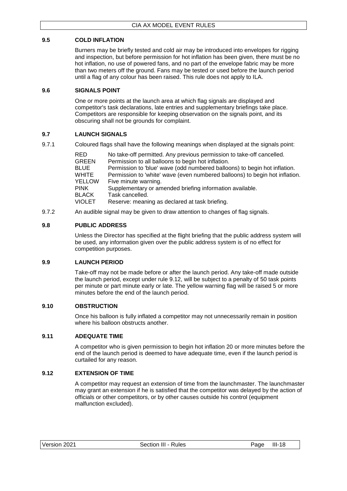# <span id="page-30-0"></span>**9.5 COLD INFLATION**

Burners may be briefly tested and cold air may be introduced into envelopes for rigging and inspection, but before permission for hot inflation has been given, there must be no hot inflation, no use of powered fans, and no part of the envelope fabric may be more than two meters off the ground. Fans may be tested or used before the launch period until a flag of any colour has been raised. This rule does not apply to ILA.

# <span id="page-30-1"></span>**9.6 SIGNALS POINT**

One or more points at the launch area at which flag signals are displayed and competitor's task declarations, late entries and supplementary briefings take place. Competitors are responsible for keeping observation on the signals point, and its obscuring shall not be grounds for complaint.

# <span id="page-30-2"></span>**9.7 LAUNCH SIGNALS**

9.7.1 Coloured flags shall have the following meanings when displayed at the signals point:

| RED<br>GREEN<br>BLUE<br>WHITE<br>YELLOW | No take-off permitted. Any previous permission to take-off cancelled.<br>Permission to all balloons to begin hot inflation.<br>Permission to 'blue' wave (odd numbered balloons) to begin hot inflation.<br>Permission to 'white' wave (even numbered balloons) to begin hot inflation.<br>Five minute warning. |
|-----------------------------------------|-----------------------------------------------------------------------------------------------------------------------------------------------------------------------------------------------------------------------------------------------------------------------------------------------------------------|
| PINK                                    | Supplementary or amended briefing information available.                                                                                                                                                                                                                                                        |
| BLACK                                   | Task cancelled.                                                                                                                                                                                                                                                                                                 |
| VIOLET                                  | Reserve: meaning as declared at task briefing.                                                                                                                                                                                                                                                                  |

9.7.2 An audible signal may be given to draw attention to changes of flag signals.

# <span id="page-30-3"></span>**9.8 PUBLIC ADDRESS**

Unless the Director has specified at the flight briefing that the public address system will be used, any information given over the public address system is of no effect for competition purposes.

#### <span id="page-30-4"></span>**9.9 LAUNCH PERIOD**

Take-off may not be made before or after the launch period. Any take-off made outside the launch period, except under rule 9.12, will be subject to a penalty of 50 task points per minute or part minute early or late. The yellow warning flag will be raised 5 or more minutes before the end of the launch period.

#### <span id="page-30-5"></span>**9.10 OBSTRUCTION**

Once his balloon is fully inflated a competitor may not unnecessarily remain in position where his balloon obstructs another.

#### <span id="page-30-6"></span>**9.11 ADEQUATE TIME**

A competitor who is given permission to begin hot inflation 20 or more minutes before the end of the launch period is deemed to have adequate time, even if the launch period is curtailed for any reason.

#### <span id="page-30-7"></span>**9.12 EXTENSION OF TIME**

A competitor may request an extension of time from the launchmaster. The launchmaster may grant an extension if he is satisfied that the competitor was delayed by the action of officials or other competitors, or by other causes outside his control (equipment malfunction excluded).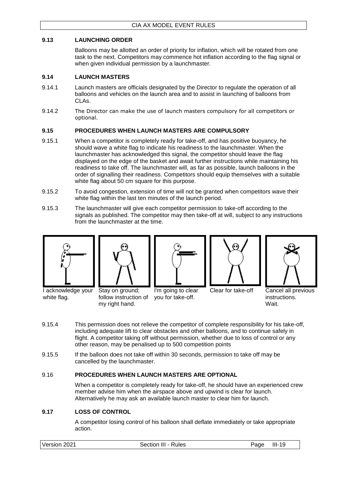# <span id="page-31-0"></span>**9.13 LAUNCHING ORDER**

Balloons may be allotted an order of priority for inflation, which will be rotated from one task to the next. Competitors may commence hot inflation according to the flag signal or when given individual permission by a launchmaster.

### <span id="page-31-1"></span>**9.14 LAUNCH MASTERS**

- 9.14.1 Launch masters are officials designated by the Director to regulate the operation of all balloons and vehicles on the launch area and to assist in launching of balloons from CLAs.
- 9.14.2 The Director can make the use of launch masters compulsory for all competitors or optional.

# <span id="page-31-2"></span>**9.15 PROCEDURES WHEN LAUNCH MASTERS ARE COMPULSORY**

- 9.15.1 When a competitor is completely ready for take-off, and has positive buoyancy, he should wave a white flag to indicate his readiness to the launchmaster. When the launchmaster has acknowledged this signal, the competitor should leave the flag displayed on the edge of the basket and await further instructions while maintaining his readiness to take off. The launchmaster will, as far as possible, launch balloons in the order of signalling their readiness. Competitors should equip themselves with a suitable white flag about 50 cm square for this purpose.
- 9.15.2 To avoid congestion, extension of time will not be granted when competitors wave their white flag within the last ten minutes of the launch period.
- 9.15.3 The launchmaster will give each competitor permission to take-off according to the signals as published. The competitor may then take-off at will, subject to any instructions from the launchmaster at the time.



I acknowledge your

white flag.



my right hand.



I'm going to clear





Clear for take-off Cancel all previous instructions. Wait.

- 9.15.4 This permission does not relieve the competitor of complete responsibility for his take-off, including adequate lift to clear obstacles and other balloons, and to continue safely in flight. A competitor taking off without permission, whether due to loss of control or any other reason, may be penalised up to 500 competition points
- 9.15.5 If the balloon does not take off within 30 seconds, permission to take off may be cancelled by the launchmaster.

#### <span id="page-31-3"></span>9.16 **PROCEDURES WHEN LAUNCH MASTERS ARE OPTIONAL**

follow instruction of you for take-off.

When a competitor is completely ready for take-off, he should have an experienced crew member advise him when the airspace above and upwind is clear for launch. Alternatively he may ask an available launch master to clear him for launch.

# <span id="page-31-4"></span>**9.17 LOSS OF CONTROL**

A competitor losing control of his balloon shall deflate immediately or take appropriate action.

| Version 2021<br>Section III - Rules<br>Page | III-<br>19 |  |
|---------------------------------------------|------------|--|
|---------------------------------------------|------------|--|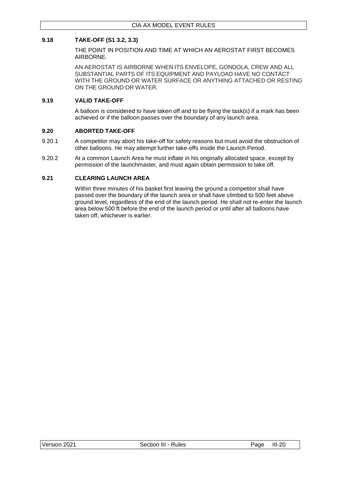# <span id="page-32-0"></span>**9.18 TAKE-OFF (S1 3.2, 3.3)**

THE POINT IN POSITION AND TIME AT WHICH AN AEROSTAT FIRST BECOMES AIRBORNE.

AN AEROSTAT IS AIRBORNE WHEN ITS ENVELOPE, GONDOLA, CREW AND ALL SUBSTANTIAL PARTS OF ITS EQUIPMENT AND PAYLOAD HAVE NO CONTACT WITH THE GROUND OR WATER SURFACE OR ANYTHING ATTACHED OR RESTING ON THE GROUND OR WATER.

#### <span id="page-32-1"></span>**9.19 VALID TAKE-OFF**

A balloon is considered to have taken off and to be flying the task(s) if a mark has been achieved or if the balloon passes over the boundary of any launch area.

#### <span id="page-32-2"></span>**9.20 ABORTED TAKE-OFF**

- 9.20.1 A competitor may abort his take-off for safety reasons but must avoid the obstruction of other balloons. He may attempt further take-offs inside the Launch Period.
- 9.20.2 At a common Launch Area he must inflate in his originally allocated space, except by permission of the launchmaster, and must again obtain permission to take off.

#### <span id="page-32-3"></span>**9.21 CLEARING LAUNCH AREA**

Within three minutes of his basket first leaving the ground a competitor shall have passed over the boundary of the launch area or shall have climbed to 500 feet above ground level, regardless of the end of the launch period. He shall not re-enter the launch area below 500 ft before the end of the launch period or until after all balloons have taken off, whichever is earlier.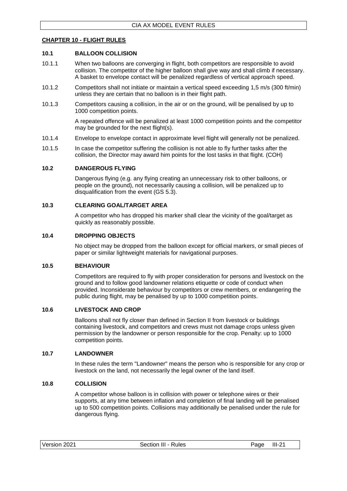#### <span id="page-33-0"></span>**CHAPTER 10 - FLIGHT RULES**

#### <span id="page-33-1"></span>**10.1 BALLOON COLLISION**

- 10.1.1 When two balloons are converging in flight, both competitors are responsible to avoid collision. The competitor of the higher balloon shall give way and shall climb if necessary. A basket to envelope contact will be penalized regardless of vertical approach speed.
- 10.1.2 Competitors shall not initiate or maintain a vertical speed exceeding 1,5 m/s (300 ft/min) unless they are certain that no balloon is in their flight path.
- 10.1.3 Competitors causing a collision, in the air or on the ground, will be penalised by up to 1000 competition points.

A repeated offence will be penalized at least 1000 competition points and the competitor may be grounded for the next flight(s).

- 10.1.4 Envelope to envelope contact in approximate level flight will generally not be penalized.
- 10.1.5 In case the competitor suffering the collision is not able to fly further tasks after the collision, the Director may award him points for the lost tasks in that flight. (COH)

#### <span id="page-33-2"></span>**10.2 DANGEROUS FLYING**

Dangerous flying (e.g. any flying creating an unnecessary risk to other balloons, or people on the ground), not necessarily causing a collision, will be penalized up to disqualification from the event (GS 5.3).

#### <span id="page-33-3"></span>**10.3 CLEARING GOAL/TARGET AREA**

A competitor who has dropped his marker shall clear the vicinity of the goal/target as quickly as reasonably possible.

#### <span id="page-33-4"></span>**10.4 DROPPING OBJECTS**

No object may be dropped from the balloon except for official markers, or small pieces of paper or similar lightweight materials for navigational purposes.

#### <span id="page-33-5"></span>**10.5 BEHAVIOUR**

Competitors are required to fly with proper consideration for persons and livestock on the ground and to follow good landowner relations etiquette or code of conduct when provided. Inconsiderate behaviour by competitors or crew members, or endangering the public during flight, may be penalised by up to 1000 competition points.

#### <span id="page-33-6"></span>**10.6 LIVESTOCK AND CROP**

Balloons shall not fly closer than defined in Section II from livestock or buildings containing livestock, and competitors and crews must not damage crops unless given permission by the landowner or person responsible for the crop. Penalty: up to 1000 competition points.

#### <span id="page-33-7"></span>**10.7 LANDOWNER**

In these rules the term "Landowner" means the person who is responsible for any crop or livestock on the land, not necessarily the legal owner of the land itself.

#### <span id="page-33-8"></span>**10.8 COLLISION**

A competitor whose balloon is in collision with power or telephone wires or their supports, at any time between inflation and completion of final landing will be penalised up to 500 competition points. Collisions may additionally be penalised under the rule for dangerous flying.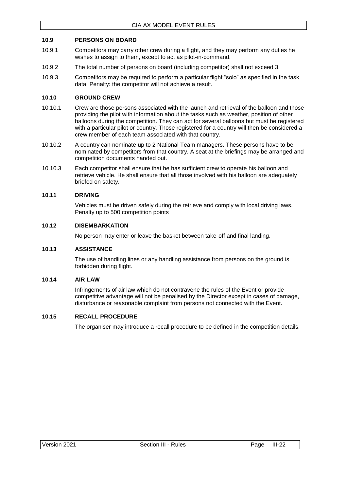# <span id="page-34-0"></span>**10.9 PERSONS ON BOARD**

- 10.9.1 Competitors may carry other crew during a flight, and they may perform any duties he wishes to assign to them, except to act as pilot-in-command.
- 10.9.2 The total number of persons on board (including competitor) shall not exceed 3.
- 10.9.3 Competitors may be required to perform a particular flight "solo" as specified in the task data. Penalty: the competitor will not achieve a result.

#### <span id="page-34-1"></span>**10.10 GROUND CREW**

- 10.10.1 Crew are those persons associated with the launch and retrieval of the balloon and those providing the pilot with information about the tasks such as weather, position of other balloons during the competition. They can act for several balloons but must be registered with a particular pilot or country. Those registered for a country will then be considered a crew member of each team associated with that country.
- 10.10.2 A country can nominate up to 2 National Team managers. These persons have to be nominated by competitors from that country. A seat at the briefings may be arranged and competition documents handed out.
- 10.10.3 Each competitor shall ensure that he has sufficient crew to operate his balloon and retrieve vehicle. He shall ensure that all those involved with his balloon are adequately briefed on safety.

#### <span id="page-34-2"></span>**10.11 DRIVING**

Vehicles must be driven safely during the retrieve and comply with local driving laws. Penalty up to 500 competition points

#### <span id="page-34-3"></span>**10.12 DISEMBARKATION**

No person may enter or leave the basket between take-off and final landing.

#### <span id="page-34-4"></span>**10.13 ASSISTANCE**

The use of handling lines or any handling assistance from persons on the ground is forbidden during flight.

#### <span id="page-34-5"></span>**10.14 AIR LAW**

Infringements of air law which do not contravene the rules of the Event or provide competitive advantage will not be penalised by the Director except in cases of damage, disturbance or reasonable complaint from persons not connected with the Event.

#### <span id="page-34-6"></span>**10.15 RECALL PROCEDURE**

The organiser may introduce a recall procedure to be defined in the competition details.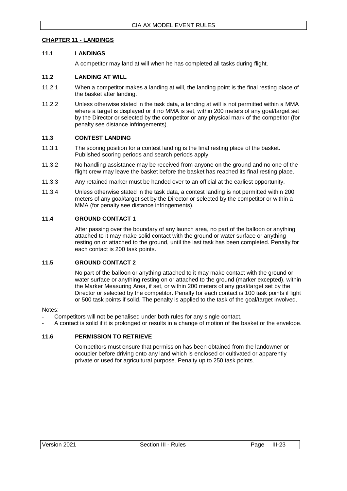# <span id="page-35-0"></span>**CHAPTER 11 - LANDINGS**

#### <span id="page-35-1"></span>**11.1 LANDINGS**

A competitor may land at will when he has completed all tasks during flight.

# <span id="page-35-2"></span>**11.2 LANDING AT WILL**

- 11.2.1 When a competitor makes a landing at will, the landing point is the final resting place of the basket after landing.
- 11.2.2 Unless otherwise stated in the task data, a landing at will is not permitted within a MMA where a target is displayed or if no MMA is set, within 200 meters of any goal/target set by the Director or selected by the competitor or any physical mark of the competitor (for penalty see distance infringements).

#### <span id="page-35-3"></span>**11.3 CONTEST LANDING**

- 11.3.1 The scoring position for a contest landing is the final resting place of the basket. Published scoring periods and search periods apply.
- 11.3.2 No handling assistance may be received from anyone on the ground and no one of the flight crew may leave the basket before the basket has reached its final resting place.
- 11.3.3 Any retained marker must be handed over to an official at the earliest opportunity.
- 11.3.4 Unless otherwise stated in the task data, a contest landing is not permitted within 200 meters of any goal/target set by the Director or selected by the competitor or within a MMA (for penalty see distance infringements).

# <span id="page-35-4"></span>**11.4 GROUND CONTACT 1**

After passing over the boundary of any launch area, no part of the balloon or anything attached to it may make solid contact with the ground or water surface or anything resting on or attached to the ground, until the last task has been completed. Penalty for each contact is 200 task points.

#### <span id="page-35-5"></span>**11.5 GROUND CONTACT 2**

No part of the balloon or anything attached to it may make contact with the ground or water surface or anything resting on or attached to the ground (marker excepted), within the Marker Measuring Area, if set, or within 200 meters of any goal/target set by the Director or selected by the competitor. Penalty for each contact is 100 task points if light or 500 task points if solid. The penalty is applied to the task of the goal/target involved.

#### Notes:

- Competitors will not be penalised under both rules for any single contact.
- A contact is solid if it is prolonged or results in a change of motion of the basket or the envelope.

#### <span id="page-35-6"></span>**11.6 PERMISSION TO RETRIEVE**

Competitors must ensure that permission has been obtained from the landowner or occupier before driving onto any land which is enclosed or cultivated or apparently private or used for agricultural purpose. Penalty up to 250 task points.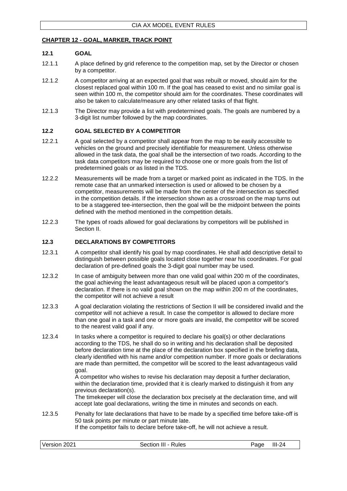# <span id="page-36-0"></span>**CHAPTER 12 - GOAL, MARKER, TRACK POINT**

#### <span id="page-36-1"></span>**12.1 GOAL**

- 12.1.1 A place defined by grid reference to the competition map, set by the Director or chosen by a competitor.
- 12.1.2 A competitor arriving at an expected goal that was rebuilt or moved, should aim for the closest replaced goal within 100 m. If the goal has ceased to exist and no similar goal is seen within 100 m, the competitor should aim for the coordinates. These coordinates will also be taken to calculate/measure any other related tasks of that flight.
- 12.1.3 The Director may provide a list with predetermined goals. The goals are numbered by a 3-digit list number followed by the map coordinates.

#### <span id="page-36-2"></span>**12.2 GOAL SELECTED BY A COMPETITOR**

- 12.2.1 A goal selected by a competitor shall appear from the map to be easily accessible to vehicles on the ground and precisely identifiable for measurement. Unless otherwise allowed in the task data, the goal shall be the intersection of two roads. According to the task data competitors may be required to choose one or more goals from the list of predetermined goals or as listed in the TDS.
- 12.2.2 Measurements will be made from a target or marked point as indicated in the TDS. In the remote case that an unmarked intersection is used or allowed to be chosen by a competitor, measurements will be made from the center of the intersection as specified in the competition details. If the intersection shown as a crossroad on the map turns out to be a staggered tee-intersection, then the goal will be the midpoint between the points defined with the method mentioned in the competition details.
- 12.2.3 The types of roads allowed for goal declarations by competitors will be published in Section II.

# <span id="page-36-3"></span>**12.3 DECLARATIONS BY COMPETITORS**

- 12.3.1 A competitor shall identify his goal by map coordinates. He shall add descriptive detail to distinguish between possible goals located close together near his coordinates. For goal declaration of pre-defined goals the 3-digit goal number may be used.
- 12.3.2 In case of ambiguity between more than one valid goal within 200 m of the coordinates, the goal achieving the least advantageous result will be placed upon a competitor's declaration. If there is no valid goal shown on the map within 200 m of the coordinates, the competitor will not achieve a result
- 12.3.3 A goal declaration violating the restrictions of Section II will be considered invalid and the competitor will not achieve a result. In case the competitor is allowed to declare more than one goal in a task and one or more goals are invalid, the competitor will be scored to the nearest valid goal if any.
- 12.3.4 In tasks where a competitor is required to declare his goal(s) or other declarations according to the TDS, he shall do so in writing and his declaration shall be deposited before declaration time at the place of the declaration box specified in the briefing data, clearly identified with his name and/or competition number. If more goals or declarations are made than permitted, the competitor will be scored to the least advantageous valid goal.

A competitor who wishes to revise his declaration may deposit a further declaration, within the declaration time, provided that it is clearly marked to distinguish it from any previous declaration(s).

The timekeeper will close the declaration box precisely at the declaration time, and will accept late goal declarations, writing the time in minutes and seconds on each.

12.3.5 Penalty for late declarations that have to be made by a specified time before take-off is 50 task points per minute or part minute late. If the competitor fails to declare before take-off, he will not achieve a result.

| Version 2021        | $III-24$ |
|---------------------|----------|
| Section III - Rules | Page     |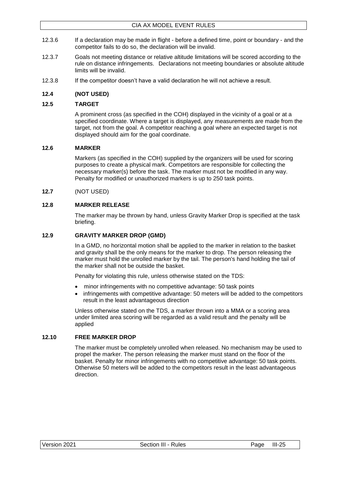- 12.3.6 If a declaration may be made in flight before a defined time, point or boundary and the competitor fails to do so, the declaration will be invalid.
- 12.3.7 Goals not meeting distance or relative altitude limitations will be scored according to the rule on distance infringements. Declarations not meeting boundaries or absolute altitude limits will be invalid.
- 12.3.8 If the competitor doesn't have a valid declaration he will not achieve a result.

# <span id="page-37-0"></span>**12.4 (NOT USED)**

### <span id="page-37-1"></span>**12.5 TARGET**

A prominent cross (as specified in the COH) displayed in the vicinity of a goal or at a specified coordinate. Where a target is displayed, any measurements are made from the target, not from the goal. A competitor reaching a goal where an expected target is not displayed should aim for the goal coordinate.

# <span id="page-37-2"></span>**12.6 MARKER**

Markers (as specified in the COH) supplied by the organizers will be used for scoring purposes to create a physical mark. Competitors are responsible for collecting the necessary marker(s) before the task. The marker must not be modified in any way. Penalty for modified or unauthorized markers is up to 250 task points.

#### <span id="page-37-3"></span>**12.7** (NOT USED)

# <span id="page-37-4"></span>**12.8 MARKER RELEASE**

The marker may be thrown by hand, unless Gravity Marker Drop is specified at the task briefing.

#### <span id="page-37-5"></span>**12.9 GRAVITY MARKER DROP (GMD)**

In a GMD, no horizontal motion shall be applied to the marker in relation to the basket and gravity shall be the only means for the marker to drop. The person releasing the marker must hold the unrolled marker by the tail. The person's hand holding the tail of the marker shall not be outside the basket.

Penalty for violating this rule, unless otherwise stated on the TDS:

- minor infringements with no competitive advantage: 50 task points
- infringements with competitive advantage: 50 meters will be added to the competitors result in the least advantageous direction

Unless otherwise stated on the TDS, a marker thrown into a MMA or a scoring area under limited area scoring will be regarded as a valid result and the penalty will be applied

#### <span id="page-37-6"></span>**12.10 FREE MARKER DROP**

The marker must be completely unrolled when released. No mechanism may be used to propel the marker. The person releasing the marker must stand on the floor of the basket. Penalty for minor infringements with no competitive advantage: 50 task points. Otherwise 50 meters will be added to the competitors result in the least advantageous direction.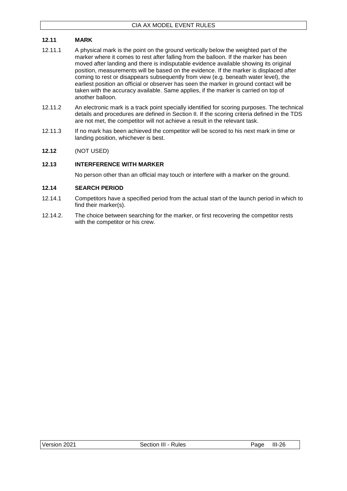# <span id="page-38-0"></span>**12.11 MARK**

- 12.11.1 A physical mark is the point on the ground vertically below the weighted part of the marker where it comes to rest after falling from the balloon. If the marker has been moved after landing and there is indisputable evidence available showing its original position, measurements will be based on the evidence. If the marker is displaced after coming to rest or disappears subsequently from view (e.g. beneath water level), the earliest position an official or observer has seen the marker in ground contact will be taken with the accuracy available. Same applies, if the marker is carried on top of another balloon.
- 12.11.2 An electronic mark is a track point specially identified for scoring purposes. The technical details and procedures are defined in Section II. If the scoring criteria defined in the TDS are not met, the competitor will not achieve a result in the relevant task.
- 12.11.3 If no mark has been achieved the competitor will be scored to his next mark in time or landing position, whichever is best.
- <span id="page-38-1"></span>**12.12** (NOT USED)

#### <span id="page-38-2"></span>**12.13 INTERFERENCE WITH MARKER**

No person other than an official may touch or interfere with a marker on the ground.

# <span id="page-38-3"></span>**12.14 SEARCH PERIOD**

- 12.14.1 Competitors have a specified period from the actual start of the launch period in which to find their marker(s).
- 12.14.2. The choice between searching for the marker, or first recovering the competitor rests with the competitor or his crew.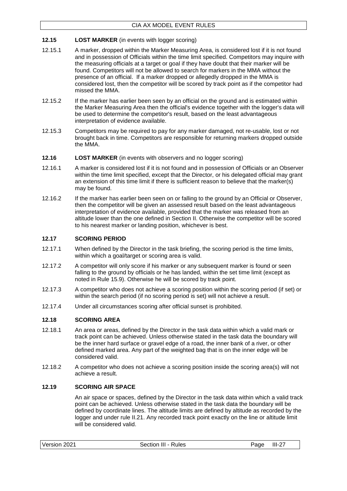# <span id="page-39-0"></span>**12.15 LOST MARKER** (in events with logger scoring)

- 12.15.1 A marker, dropped within the Marker Measuring Area, is considered lost if it is not found and in possession of Officials within the time limit specified. Competitors may inquire with the measuring officials at a target or goal if they have doubt that their marker will be found. Competitors will not be allowed to search for markers in the MMA without the presence of an official. If a marker dropped or allegedly dropped in the MMA is considered lost, then the competitor will be scored by track point as if the competitor had missed the MMA.
- 12.15.2 If the marker has earlier been seen by an official on the ground and is estimated within the Marker Measuring Area then the official's evidence together with the logger's data will be used to determine the competitor's result, based on the least advantageous interpretation of evidence available.
- 12.15.3 Competitors may be required to pay for any marker damaged, not re-usable, lost or not brought back in time. Competitors are responsible for returning markers dropped outside the MMA.
- <span id="page-39-1"></span>**12.16 LOST MARKER** (in events with observers and no logger scoring)
- 12.16.1 A marker is considered lost if it is not found and in possession of Officials or an Observer within the time limit specified, except that the Director, or his delegated official may grant an extension of this time limit if there is sufficient reason to believe that the marker(s) may be found.
- 12.16.2 If the marker has earlier been seen on or falling to the ground by an Official or Observer, then the competitor will be given an assessed result based on the least advantageous interpretation of evidence available, provided that the marker was released from an altitude lower than the one defined in Section II. Otherwise the competitor will be scored to his nearest marker or landing position, whichever is best.

# <span id="page-39-2"></span>**12.17 SCORING PERIOD**

- 12.17.1 When defined by the Director in the task briefing, the scoring period is the time limits, within which a goal/target or scoring area is valid.
- 12.17.2 A competitor will only score if his marker or any subsequent marker is found or seen falling to the ground by officials or he has landed, within the set time limit (except as noted in Rule 15.9). Otherwise he will be scored by track point.
- 12.17.3 A competitor who does not achieve a scoring position within the scoring period (if set) or within the search period (if no scoring period is set) will not achieve a result.
- 12.17.4 Under all circumstances scoring after official sunset is prohibited.

#### <span id="page-39-3"></span>**12.18 SCORING AREA**

- 12.18.1 An area or areas, defined by the Director in the task data within which a valid mark or track point can be achieved. Unless otherwise stated in the task data the boundary will be the inner hard surface or gravel edge of a road, the inner bank of a river, or other defined marked area. Any part of the weighted bag that is on the inner edge will be considered valid.
- 12.18.2 A competitor who does not achieve a scoring position inside the scoring area(s) will not achieve a result.

### <span id="page-39-4"></span>**12.19 SCORING AIR SPACE**

An air space or spaces, defined by the Director in the task data within which a valid track point can be achieved. Unless otherwise stated in the task data the boundary will be defined by coordinate lines. The altitude limits are defined by altitude as recorded by the logger and under rule II.21. Any recorded track point exactly on the line or altitude limit will be considered valid.

| Version 2021 | Section III - Rules | Page | $III-27$ |
|--------------|---------------------|------|----------|
|--------------|---------------------|------|----------|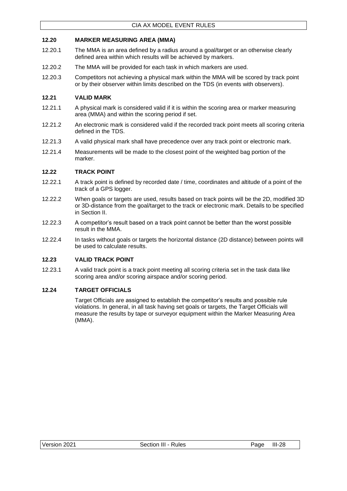#### <span id="page-40-0"></span>**12.20 MARKER MEASURING AREA (MMA)**

- 12.20.1 The MMA is an area defined by a radius around a goal/target or an otherwise clearly defined area within which results will be achieved by markers.
- 12.20.2 The MMA will be provided for each task in which markers are used.
- 12.20.3 Competitors not achieving a physical mark within the MMA will be scored by track point or by their observer within limits described on the TDS (in events with observers).

### <span id="page-40-1"></span>**12.21 VALID MARK**

- 12.21.1 A physical mark is considered valid if it is within the scoring area or marker measuring area (MMA) and within the scoring period if set.
- 12.21.2 An electronic mark is considered valid if the recorded track point meets all scoring criteria defined in the TDS.
- 12.21.3 A valid physical mark shall have precedence over any track point or electronic mark.
- 12.21.4 Measurements will be made to the closest point of the weighted bag portion of the marker.

#### <span id="page-40-2"></span>**12.22 TRACK POINT**

- 12.22.1 A track point is defined by recorded date / time, coordinates and altitude of a point of the track of a GPS logger.
- 12.22.2 When goals or targets are used, results based on track points will be the 2D, modified 3D or 3D-distance from the goal/target to the track or electronic mark. Details to be specified in Section II.
- 12.22.3 A competitor's result based on a track point cannot be better than the worst possible result in the MMA.
- 12.22.4 In tasks without goals or targets the horizontal distance (2D distance) between points will be used to calculate results.

# <span id="page-40-3"></span>**12.23 VALID TRACK POINT**

12.23.1 A valid track point is a track point meeting all scoring criteria set in the task data like scoring area and/or scoring airspace and/or scoring period.

### <span id="page-40-4"></span>**12.24 TARGET OFFICIALS**

Target Officials are assigned to establish the competitor's results and possible rule violations. In general, in all task having set goals or targets, the Target Officials will measure the results by tape or surveyor equipment within the Marker Measuring Area (MMA).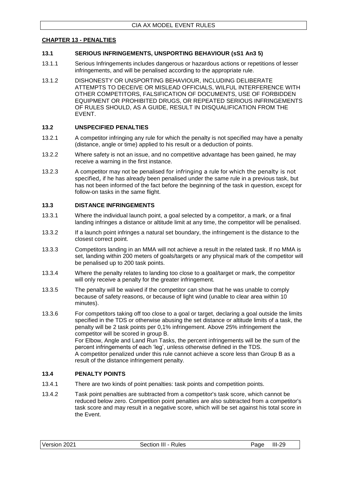#### <span id="page-41-0"></span>**CHAPTER 13 - PENALTIES**

#### <span id="page-41-1"></span>**13.1 SERIOUS INFRINGEMENTS, UNSPORTING BEHAVIOUR (sS1 An3 5)**

- 13.1.1 Serious Infringements includes dangerous or hazardous actions or repetitions of lesser infringements, and will be penalised according to the appropriate rule.
- 13.1.2 DISHONESTY OR UNSPORTING BEHAVIOUR, INCLUDING DELIBERATE ATTEMPTS TO DECEIVE OR MISLEAD OFFICIALS, WILFUL INTERFERENCE WITH OTHER COMPETITORS, FALSIFICATION OF DOCUMENTS, USE OF FORBIDDEN EQUIPMENT OR PROHIBITED DRUGS, OR REPEATED SERIOUS INFRINGEMENTS OF RULES SHOULD, AS A GUIDE, RESULT IN DISQUALIFICATION FROM THE EVENT.

#### <span id="page-41-2"></span>**13.2 UNSPECIFIED PENALTIES**

- 13.2.1 A competitor infringing any rule for which the penalty is not specified may have a penalty (distance, angle or time) applied to his result or a deduction of points.
- 13.2.2 Where safety is not an issue, and no competitive advantage has been gained, he may receive a warning in the first instance.
- 13.2.3 A competitor may not be penalised for infringing a rule for which the penalty is not specified, if he has already been penalised under the same rule in a previous task, but has not been informed of the fact before the beginning of the task in question, except for follow-on tasks in the same flight.

#### <span id="page-41-3"></span>**13.3 DISTANCE INFRINGEMENTS**

- 13.3.1 Where the individual launch point, a goal selected by a competitor, a mark, or a final landing infringes a distance or altitude limit at any time, the competitor will be penalised.
- 13.3.2 If a launch point infringes a natural set boundary, the infringement is the distance to the closest correct point.
- 13.3.3 Competitors landing in an MMA will not achieve a result in the related task. If no MMA is set, landing within 200 meters of goals/targets or any physical mark of the competitor will be penalised up to 200 task points.
- 13.3.4 Where the penalty relates to landing too close to a goal/target or mark, the competitor will only receive a penalty for the greater infringement.
- 13.3.5 The penalty will be waived if the competitor can show that he was unable to comply because of safety reasons, or because of light wind (unable to clear area within 10 minutes).
- 13.3.6 For competitors taking off too close to a goal or target, declaring a goal outside the limits specified in the TDS or otherwise abusing the set distance or altitude limits of a task, the penalty will be 2 task points per 0,1% infringement. Above 25% infringement the competitor will be scored in group B. For Elbow, Angle and Land Run Tasks, the percent infringements will be the sum of the percent infringements of each 'leg', unless otherwise defined in the TDS. A competitor penalized under this rule cannot achieve a score less than Group B as a result of the distance infringement penalty.

#### <span id="page-41-4"></span>**13.4 PENALTY POINTS**

- 13.4.1 There are two kinds of point penalties: task points and competition points.
- 13.4.2 Task point penalties are subtracted from a competitor's task score, which cannot be reduced below zero. Competition point penalties are also subtracted from a competitor's task score and may result in a negative score, which will be set against his total score in the Event.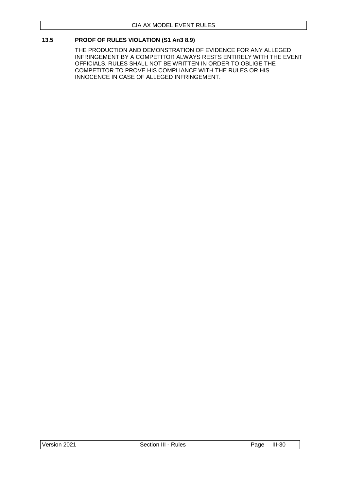# <span id="page-42-0"></span>**13.5 PROOF OF RULES VIOLATION (S1 An3 8.9)**

THE PRODUCTION AND DEMONSTRATION OF EVIDENCE FOR ANY ALLEGED INFRINGEMENT BY A COMPETITOR ALWAYS RESTS ENTIRELY WITH THE EVENT OFFICIALS. RULES SHALL NOT BE WRITTEN IN ORDER TO OBLIGE THE COMPETITOR TO PROVE HIS COMPLIANCE WITH THE RULES OR HIS INNOCENCE IN CASE OF ALLEGED INFRINGEMENT.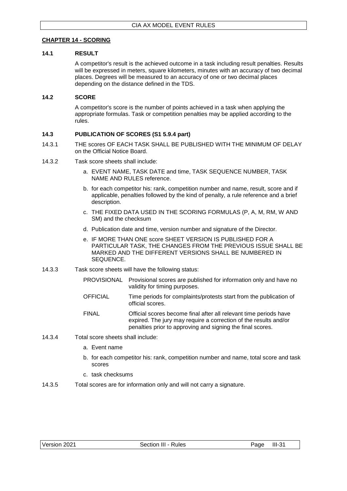# <span id="page-43-0"></span>**CHAPTER 14 - SCORING**

#### <span id="page-43-1"></span>**14.1 RESULT**

A competitor's result is the achieved outcome in a task including result penalties. Results will be expressed in meters, square kilometers, minutes with an accuracy of two decimal places. Degrees will be measured to an accuracy of one or two decimal places depending on the distance defined in the TDS.

#### <span id="page-43-2"></span>**14.2 SCORE**

A competitor's score is the number of points achieved in a task when applying the appropriate formulas. Task or competition penalties may be applied according to the rules.

# <span id="page-43-3"></span>**14.3 PUBLICATION OF SCORES (S1 5.9.4 part)**

- 14.3.1 THE scores OF EACH TASK SHALL BE PUBLISHED WITH THE MINIMUM OF DELAY on the Official Notice Board.
- 14.3.2 Task score sheets shall include:
	- a. EVENT NAME, TASK DATE and time, TASK SEQUENCE NUMBER, TASK NAME AND RULES reference.
	- b. for each competitor his: rank, competition number and name, result, score and if applicable, penalties followed by the kind of penalty, a rule reference and a brief description.
	- c. THE FIXED DATA USED IN THE SCORING FORMULAS (P, A, M, RM, W AND SM) and the checksum
	- d. Publication date and time, version number and signature of the Director.
	- e. IF MORE THAN ONE score SHEET VERSION IS PUBLISHED FOR A PARTICULAR TASK, THE CHANGES FROM THE PREVIOUS ISSUE SHALL BE MARKED AND THE DIFFERENT VERSIONS SHALL BE NUMBERED IN SEQUENCE.
- 14.3.3 Task score sheets will have the following status:
	- PROVISIONAL Provisional scores are published for information only and have no validity for timing purposes.
	- OFFICIAL Time periods for complaints/protests start from the publication of official scores.
	- FINAL Official scores become final after all relevant time periods have expired. The jury may require a correction of the results and/or penalties prior to approving and signing the final scores.
- 14.3.4 Total score sheets shall include:
	- a. Event name
	- b. for each competitor his: rank, competition number and name, total score and task scores
	- c. task checksums
- 14.3.5 Total scores are for information only and will not carry a signature.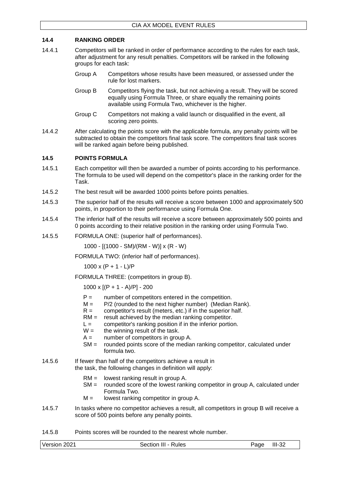# <span id="page-44-0"></span>**14.4 RANKING ORDER**

- 14.4.1 Competitors will be ranked in order of performance according to the rules for each task, after adjustment for any result penalties. Competitors will be ranked in the following groups for each task:
	- Group A Competitors whose results have been measured, or assessed under the rule for lost markers.
	- Group B Competitors flying the task, but not achieving a result. They will be scored equally using Formula Three, or share equally the remaining points available using Formula Two, whichever is the higher.
	- Group C Competitors not making a valid launch or disqualified in the event, all scoring zero points.
- 14.4.2 After calculating the points score with the applicable formula, any penalty points will be subtracted to obtain the competitors final task score. The competitors final task scores will be ranked again before being published.

#### <span id="page-44-1"></span>**14.5 POINTS FORMULA**

- 14.5.1 Each competitor will then be awarded a number of points according to his performance. The formula to be used will depend on the competitor's place in the ranking order for the Task.
- 14.5.2 The best result will be awarded 1000 points before points penalties.
- 14.5.3 The superior half of the results will receive a score between 1000 and approximately 500 points, in proportion to their performance using Formula One.
- 14.5.4 The inferior half of the results will receive a score between approximately 500 points and 0 points according to their relative position in the ranking order using Formula Two.
- 14.5.5 FORMULA ONE: (superior half of performances).

1000 - [(1000 - SM)/(RM - W)] x (R - W)

FORMULA TWO: (inferior half of performances).

 $1000 \times (P + 1 - L)/P$ 

FORMULA THREE: (competitors in group B).

1000 x [(P + 1 - A)/P] - 200

- $P =$  number of competitors entered in the competition.<br> $M =$   $P/2$  (rounded to the next higher number) (Median
- P/2 (rounded to the next higher number) (Median Rank).
- $R =$  competitor's result (meters, etc.) if in the superior half.
- $RM =$  result achieved by the median ranking competitor.
- $L =$  competitor's ranking position if in the inferior portion.
- $W =$  the winning result of the task.
- $A =$  number of competitors in group A.
- SM = rounded points score of the median ranking competitor, calculated under formula two.
- 14.5.6 If fewer than half of the competitors achieve a result in the task, the following changes in definition will apply:
	- RM = lowest ranking result in group A.
	- SM = rounded score of the lowest ranking competitor in group A, calculated under Formula Two.
	- $M =$  lowest ranking competitor in group A.
- 14.5.7 In tasks where no competitor achieves a result, all competitors in group B will receive a score of 500 points before any penalty points.
- 14.5.8 Points scores will be rounded to the nearest whole number.

Version 2021 Section III - Rules Page III-32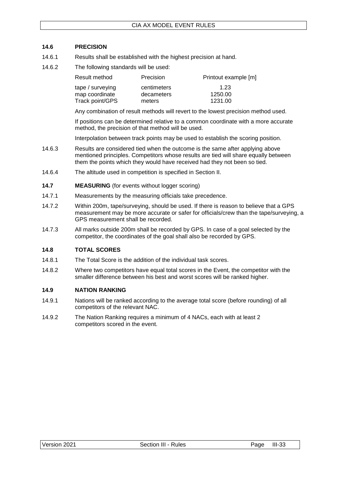# <span id="page-45-0"></span>**14.6 PRECISION**

- 14.6.1 Results shall be established with the highest precision at hand.
- 14.6.2 The following standards will be used:

| Result method    | Precision   | Printout example [m] |
|------------------|-------------|----------------------|
| tape / surveying | centimeters | 1.23                 |
| map coordinate   | decameters  | 1250.00              |
| Track point/GPS  | meters      | 1231.00              |

Any combination of result methods will revert to the lowest precision method used.

If positions can be determined relative to a common coordinate with a more accurate method, the precision of that method will be used.

Interpolation between track points may be used to establish the scoring position.

- 14.6.3 Results are considered tied when the outcome is the same after applying above mentioned principles. Competitors whose results are tied will share equally between them the points which they would have received had they not been so tied.
- 14.6.4 The altitude used in competition is specified in Section II.
- <span id="page-45-1"></span>**14.7 MEASURING** (for events without logger scoring)
- 14.7.1 Measurements by the measuring officials take precedence.
- 14.7.2 Within 200m, tape/surveying, should be used. If there is reason to believe that a GPS measurement may be more accurate or safer for officials/crew than the tape/surveying, a GPS measurement shall be recorded.
- 14.7.3 All marks outside 200m shall be recorded by GPS. In case of a goal selected by the competitor, the coordinates of the goal shall also be recorded by GPS.

#### <span id="page-45-2"></span>**14.8 TOTAL SCORES**

- 14.8.1 The Total Score is the addition of the individual task scores.
- 14.8.2 Where two competitors have equal total scores in the Event, the competitor with the smaller difference between his best and worst scores will be ranked higher.

#### <span id="page-45-3"></span>**14.9 NATION RANKING**

- 14.9.1 Nations will be ranked according to the average total score (before rounding) of all competitors of the relevant NAC.
- 14.9.2 The Nation Ranking requires a minimum of 4 NACs, each with at least 2 competitors scored in the event.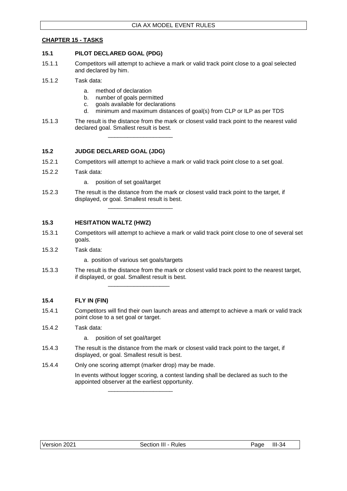# <span id="page-46-0"></span>**CHAPTER 15 - TASKS**

#### <span id="page-46-1"></span>**15.1 PILOT DECLARED GOAL (PDG)**

- 15.1.1 Competitors will attempt to achieve a mark or valid track point close to a goal selected and declared by him.
- 15.1.2 Task data:
	- a. method of declaration
	- b. number of goals permitted
	- c. goals available for declarations

\_\_\_\_\_\_\_\_\_\_\_\_\_\_\_\_\_\_\_\_

- d. minimum and maximum distances of goal(s) from CLP or ILP as per TDS
- 15.1.3 The result is the distance from the mark or closest valid track point to the nearest valid declared goal. Smallest result is best.

# <span id="page-46-2"></span>**15.2 JUDGE DECLARED GOAL (JDG)**

- 15.2.1 Competitors will attempt to achieve a mark or valid track point close to a set goal.
- 15.2.2 Task data:
	- a. position of set goal/target
- 15.2.3 The result is the distance from the mark or closest valid track point to the target, if displayed, or goal. Smallest result is best. \_\_\_\_\_\_\_\_\_\_\_\_\_\_\_\_\_\_\_\_

# <span id="page-46-3"></span>**15.3 HESITATION WALTZ (HWZ)**

- 15.3.1 Competitors will attempt to achieve a mark or valid track point close to one of several set goals.
- 15.3.2 Task data:
	- a. position of various set goals/targets

\_\_\_\_\_\_\_\_\_\_\_\_\_\_\_\_\_\_\_

15.3.3 The result is the distance from the mark or closest valid track point to the nearest target, if displayed, or goal. Smallest result is best.

#### <span id="page-46-4"></span>**15.4 FLY IN (FIN)**

15.4.1 Competitors will find their own launch areas and attempt to achieve a mark or valid track point close to a set goal or target.

#### 15.4.2 Task data:

- a. position of set goal/target
- 15.4.3 The result is the distance from the mark or closest valid track point to the target, if displayed, or goal. Smallest result is best.
- 15.4.4 Only one scoring attempt (marker drop) may be made.

\_\_\_\_\_\_\_\_\_\_\_\_\_\_\_\_\_\_\_\_

In events without logger scoring, a contest landing shall be declared as such to the appointed observer at the earliest opportunity.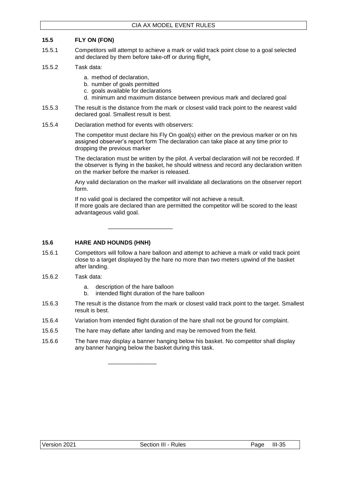# <span id="page-47-0"></span>**15.5 FLY ON (FON)**

- 15.5.1 Competitors will attempt to achieve a mark or valid track point close to a goal selected and declared by them before take-off or during flight.
- 15.5.2 Task data:
	- a. method of declaration,
	- b. number of goals permitted
	- c. goals available for declarations
	- d. minimum and maximum distance between previous mark and declared goal
- 15.5.3 The result is the distance from the mark or closest valid track point to the nearest valid declared goal. Smallest result is best.
- 15.5.4 Declaration method for events with observers:

The competitor must declare his Fly On goal(s) either on the previous marker or on his assigned observer's report form The declaration can take place at any time prior to dropping the previous marker

The declaration must be written by the pilot. A verbal declaration will not be recorded. If the observer is flying in the basket, he should witness and record any declaration written on the marker before the marker is released.

Any valid declaration on the marker will invalidate all declarations on the observer report form.

If no valid goal is declared the competitor will not achieve a result. If more goals are declared than are permitted the competitor will be scored to the least advantageous valid goal.

\_\_\_\_\_\_\_\_\_\_\_\_\_\_\_\_\_\_\_\_

### <span id="page-47-1"></span>**15.6 HARE AND HOUNDS (HNH)**

- 15.6.1 Competitors will follow a hare balloon and attempt to achieve a mark or valid track point close to a target displayed by the hare no more than two meters upwind of the basket after landing.
- 15.6.2 Task data:
	- a. description of the hare balloon

\_\_\_\_\_\_\_\_\_\_\_\_\_\_\_

- b. intended flight duration of the hare balloon
- 15.6.3 The result is the distance from the mark or closest valid track point to the target. Smallest result is best.
- 15.6.4 Variation from intended flight duration of the hare shall not be ground for complaint.
- 15.6.5 The hare may deflate after landing and may be removed from the field.
- 15.6.6 The hare may display a banner hanging below his basket. No competitor shall display any banner hanging below the basket during this task.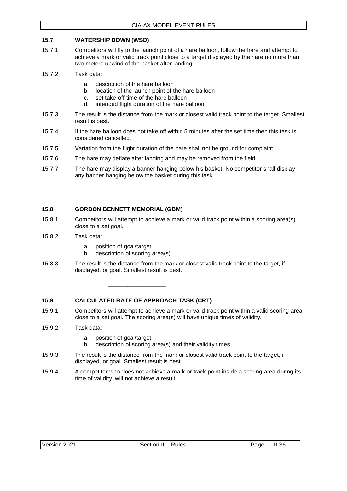# <span id="page-48-0"></span>**15.7 WATERSHIP DOWN (WSD)**

- 15.7.1 Competitors will fly to the launch point of a hare balloon, follow the hare and attempt to achieve a mark or valid track point close to a target displayed by the hare no more than two meters upwind of the basket after landing.
- 15.7.2 Task data:
	- a. description of the hare balloon
	- b. location of the launch point of the hare balloon
	- c. set take-off time of the hare balloon
	- d. intended flight duration of the hare balloon
- 15.7.3 The result is the distance from the mark or closest valid track point to the target. Smallest result is best.
- 15.7.4 If the hare balloon does not take off within 5 minutes after the set time then this task is considered cancelled.
- 15.7.5 Variation from the flight duration of the hare shall not be ground for complaint.
- 15.7.6 The hare may deflate after landing and may be removed from the field.
- 15.7.7 The hare may display a banner hanging below his basket. No competitor shall display any banner hanging below the basket during this task.

# <span id="page-48-1"></span>**15.8 GORDON BENNETT MEMORIAL (GBM)**

- 15.8.1 Competitors will attempt to achieve a mark or valid track point within a scoring area(s) close to a set goal.
- 15.8.2 Task data:
	- a. position of goal/target
	- b. description of scoring area(s)

\_\_\_\_\_\_\_\_\_\_\_\_\_\_\_\_\_

15.8.3 The result is the distance from the mark or closest valid track point to the target, if displayed, or goal. Smallest result is best.

#### <span id="page-48-2"></span>**15.9 CALCULATED RATE OF APPROACH TASK (CRT)**

\_\_\_\_\_\_\_\_\_\_\_\_\_\_\_\_\_\_

\_\_\_\_\_\_\_\_\_\_\_\_\_\_\_\_\_\_\_\_

- 15.9.1 Competitors will attempt to achieve a mark or valid track point within a valid scoring area close to a set goal. The scoring area(s) will have unique times of validity.
- 15.9.2 Task data:
	- a. position of goal/target.
	- b. description of scoring area(s) and their validity times
- 15.9.3 The result is the distance from the mark or closest valid track point to the target, if displayed, or goal. Smallest result is best.
- 15.9.4 A competitor who does not achieve a mark or track point inside a scoring area during its time of validity, will not achieve a result.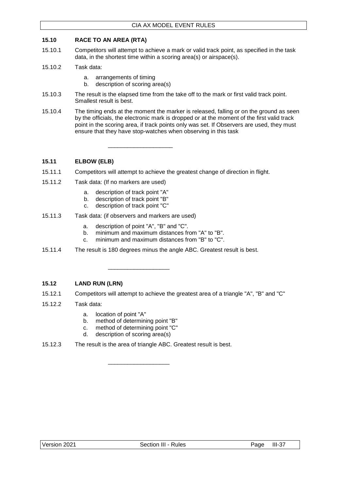# <span id="page-49-0"></span>**15.10 RACE TO AN AREA (RTA)**

- 15.10.1 Competitors will attempt to achieve a mark or valid track point, as specified in the task data, in the shortest time within a scoring area(s) or airspace(s).
- 15.10.2 Task data:
	- a. arrangements of timing
	- b. description of scoring area(s)
- 15.10.3 The result is the elapsed time from the take off to the mark or first valid track point. Smallest result is best.
- 15.10.4 The timing ends at the moment the marker is released, falling or on the ground as seen by the officials, the electronic mark is dropped or at the moment of the first valid track point in the scoring area, if track points only was set. If Observers are used, they must ensure that they have stop-watches when observing in this task

# <span id="page-49-1"></span>**15.11 ELBOW (ELB)**

- 15.11.1 Competitors will attempt to achieve the greatest change of direction in flight.
- 15.11.2 Task data: (If no markers are used)
	- a. description of track point "A"
	- b. description of track point "B"
	- c. description of track point "C"
- 15.11.3 Task data: (if observers and markers are used)
	- a. description of point "A", "B" and "C".

\_\_\_\_\_\_\_\_\_\_\_\_\_\_\_\_\_\_\_

\_\_\_\_\_\_\_\_\_\_\_\_\_\_\_\_\_\_\_\_

- b. minimum and maximum distances from "A" to "B".
- c. minimum and maximum distances from "B" to "C".
- 15.11.4 The result is 180 degrees minus the angle ABC. Greatest result is best.

# <span id="page-49-2"></span>**15.12 LAND RUN (LRN)**

- 15.12.1 Competitors will attempt to achieve the greatest area of a triangle "A", "B" and "C"
- 15.12.2 Task data:
	- a. location of point "A"
	- b. method of determining point "B"
	- c. method of determining point "C"
	- d. description of scoring area(s)
- 15.12.3 The result is the area of triangle ABC. Greatest result is best.

\_\_\_\_\_\_\_\_\_\_\_\_\_\_\_\_\_\_\_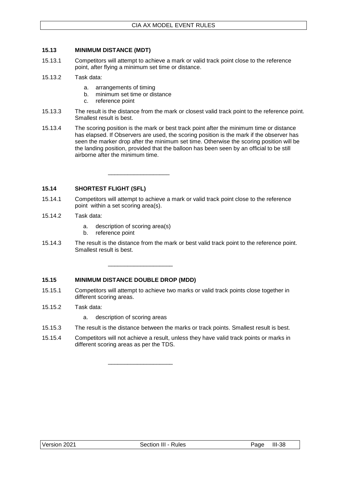# <span id="page-50-0"></span>**15.13 MINIMUM DISTANCE (MDT)**

- 15.13.1 Competitors will attempt to achieve a mark or valid track point close to the reference point, after flying a minimum set time or distance.
- 15.13.2 Task data:
	- a. arrangements of timing
	- b. minimum set time or distance
	- c. reference point
- 15.13.3 The result is the distance from the mark or closest valid track point to the reference point. Smallest result is best.
- 15.13.4 The scoring position is the mark or best track point after the minimum time or distance has elapsed. If Observers are used, the scoring position is the mark if the observer has seen the marker drop after the minimum set time. Otherwise the scoring position will be the landing position, provided that the balloon has been seen by an official to be still airborne after the minimum time.

<span id="page-50-1"></span>**15.14 SHORTEST FLIGHT (SFL)**

- 15.14.1 Competitors will attempt to achieve a mark or valid track point close to the reference point within a set scoring area(s).
- 15.14.2 Task data:
	- a. description of scoring area(s)

\_\_\_\_\_\_\_\_\_\_\_\_\_\_\_\_\_\_\_

\_\_\_\_\_\_\_\_\_\_\_\_\_\_\_\_\_\_\_\_

\_\_\_\_\_\_\_\_\_\_\_\_\_\_\_\_\_\_\_\_

- b. reference point
- 15.14.3 The result is the distance from the mark or best valid track point to the reference point. Smallest result is best.

#### <span id="page-50-2"></span>**15.15 MINIMUM DISTANCE DOUBLE DROP (MDD)**

- 15.15.1 Competitors will attempt to achieve two marks or valid track points close together in different scoring areas.
- 15.15.2 Task data:
	- a. description of scoring areas
- 15.15.3 The result is the distance between the marks or track points. Smallest result is best.
- 15.15.4 Competitors will not achieve a result, unless they have valid track points or marks in different scoring areas as per the TDS.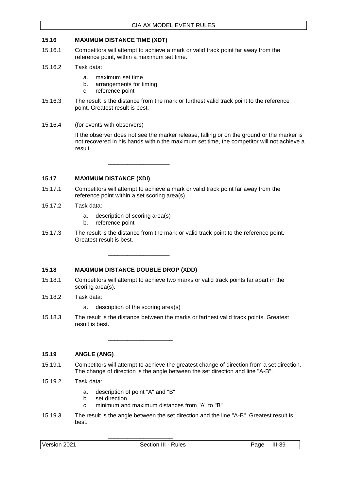#### <span id="page-51-0"></span>**15.16 MAXIMUM DISTANCE TIME (XDT)**

- 15.16.1 Competitors will attempt to achieve a mark or valid track point far away from the reference point, within a maximum set time.
- 15.16.2 Task data:
	- a. maximum set time
	- b. arrangements for timing
	- c. reference point
- 15.16.3 The result is the distance from the mark or furthest valid track point to the reference point. Greatest result is best.
- 15.16.4 (for events with observers)

If the observer does not see the marker release, falling or on the ground or the marker is not recovered in his hands within the maximum set time, the competitor will not achieve a result.

\_\_\_\_\_\_\_\_\_\_\_\_\_\_\_\_\_\_\_

\_\_\_\_\_\_\_\_\_\_\_\_\_\_\_\_\_\_\_

# <span id="page-51-1"></span>**15.17 MAXIMUM DISTANCE (XDI)**

- 15.17.1 Competitors will attempt to achieve a mark or valid track point far away from the reference point within a set scoring area(s).
- 15.17.2 Task data:
	- a. description of scoring area(s)
	- b. reference point
- 15.17.3 The result is the distance from the mark or valid track point to the reference point. Greatest result is best.

#### <span id="page-51-2"></span>**15.18 MAXIMUM DISTANCE DOUBLE DROP (XDD)**

- 15.18.1 Competitors will attempt to achieve two marks or valid track points far apart in the scoring area(s).
- 15.18.2 Task data:
	- a. description of the scoring area(s)
- 15.18.3 The result is the distance between the marks or farthest valid track points. Greatest result is best.

\_\_\_\_\_\_\_\_\_\_\_\_\_\_\_\_\_\_\_\_

# <span id="page-51-3"></span>**15.19 ANGLE (ANG)**

- 15.19.1 Competitors will attempt to achieve the greatest change of direction from a set direction. The change of direction is the angle between the set direction and line "A-B".
- 15.19.2 Task data:
	- a. description of point "A" and "B"
	- b. set direction
	- c. minimum and maximum distances from "A" to "B"

\_\_\_\_\_\_\_\_\_\_\_\_\_\_\_\_\_\_\_\_

15.19.3 The result is the angle between the set direction and the line "A-B". Greatest result is best.

| Version 2021<br>Section III - Rules | Page | $III-39$ |
|-------------------------------------|------|----------|
|-------------------------------------|------|----------|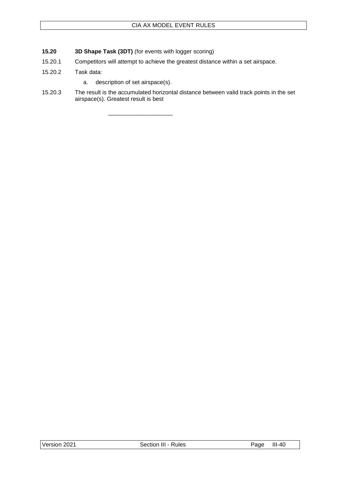- <span id="page-52-0"></span>**15.20 3D Shape Task (3DT)** (for events with logger scoring)
- 15.20.1 Competitors will attempt to achieve the greatest distance within a set airspace.
- 15.20.2 Task data:
	- a. description of set airspace(s).

\_\_\_\_\_\_\_\_\_\_\_\_\_\_\_\_\_\_\_\_

15.20.3 The result is the accumulated horizontal distance between valid track points in the set airspace(s). Greatest result is best